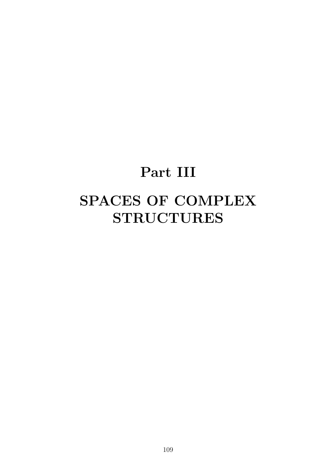# **Part III**

# **SPACES OF COMPLEX STRUCTURES**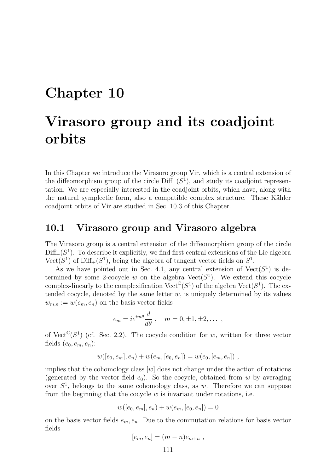# **Chapter 10**

# **Virasoro group and its coadjoint orbits**

In this Chapter we introduce the Virasoro group Vir, which is a central extension of the diffeomorphism group of the circle  $Diff_{+}(S^{1})$ , and study its coadjoint representation. We are especially interested in the coadjoint orbits, which have, along with the natural symplectic form, also a compatible complex structure. These Kähler coadjoint orbits of Vir are studied in Sec. 10.3 of this Chapter.

### **10.1 Virasoro group and Virasoro algebra**

The Virasoro group is a central extension of the diffeomorphism group of the circle  $Diff_{+}(S^{1})$ . To describe it explicitly, we find first central extensions of the Lie algebra  $Vect(S^1)$  of  $Diff_{+}(S^1)$ , being the algebra of tangent vector fields on  $S^1$ .

As we have pointed out in Sec. 4.1, any central extension of  $Vect(S^1)$  is determined by some 2-cocycle  $w$  on the algebra  $Vect(S^1)$ . We extend this cocycle complex-linearly to the complexification Vect<sup>C</sup>( $S<sup>1</sup>$ ) of the algebra Vect( $S<sup>1</sup>$ ). The extended cocycle, denoted by the same letter  $w$ , is uniquely determined by its values  $w_{m,n} := w(e_m, e_n)$  on the basis vector fields

$$
e_m = ie^{im\theta} \frac{d}{d\theta} , \quad m = 0, \pm 1, \pm 2, \dots ,
$$

of Vect<sup>C</sup>( $S^1$ ) (cf. Sec. 2.2). The cocycle condition for *w*, written for three vector fields  $(e_0, e_m, e_n)$ :

$$
w([e_0, e_m], e_n) + w(e_m, [e_0, e_n]) = w(e_0, [e_m, e_n]) ,
$$

implies that the cohomology class  $[w]$  does not change under the action of rotations (generated by the vector field  $e_0$ ). So the cocycle, obtained from *w* by averaging over  $S<sup>1</sup>$ , belongs to the same cohomology class, as *w*. Therefore we can suppose from the beginning that the cocycle *w* is invariant under rotations, i.e.

$$
w([e_0, e_m], e_n) + w(e_m, [e_0, e_n]) = 0
$$

on the basis vector fields *em, en*. Due to the commutation relations for basis vector fields

$$
[e_m, e_n] = (m-n)e_{m+n} ,
$$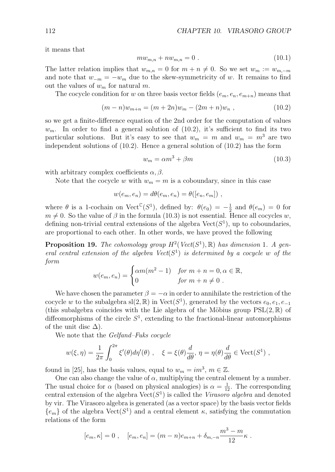it means that

$$
mw_{m,n} + nw_{m,n} = 0.
$$
\n(10.1)

The latter relation implies that  $w_{m,n} = 0$  for  $m + n \neq 0$ . So we set  $w_m := w_{m,-m}$ and note that  $w_{-m} = -w_m$  due to the skew-symmetricity of *w*. It remains to find out the values of *w<sup>m</sup>* for natural *m*.

The cocycle condition for *w* on three basis vector fields  $(e_m, e_n, e_{m+n})$  means that

$$
(m-n)w_{m+n} = (m+2n)w_m - (2m+n)w_n , \qquad (10.2)
$$

so we get a finite-difference equation of the 2nd order for the computation of values  $w_m$ . In order to find a general solution of  $(10.2)$ , it's sufficient to find its two particular solutions. But it's easy to see that  $w_m = m$  and  $w_m = m^3$  are two independent solutions of  $(10.2)$ . Hence a general solution of  $(10.2)$  has the form

$$
w_m = \alpha m^3 + \beta m \tag{10.3}
$$

with arbitrary complex coefficients  $\alpha$ ,  $\beta$ .

Note that the cocycle *w* with  $w_m = m$  is a coboundary, since in this case

$$
w(e_m, e_n) = d\theta(e_m, e_n) = \theta([e_n, e_m]) ,
$$

where  $\theta$  is a 1-cochain on Vect<sup>C</sup>(*S*<sup>1</sup>), defined by:  $\theta(e_0) = -\frac{1}{2}$  and  $\theta(e_m) = 0$  for  $m \neq 0$ . So the value of  $\beta$  in the formula (10.3) is not essential. Hence all cocycles *w*, defining non-trivial central extensions of the algebra  $Vect(S^1)$ , up to coboundaries, are proportional to each other. In other words, we have proved the following

**Proposition 19.** *The cohomology group*  $H^2(Vect(S^1), \mathbb{R})$  *has dimension* 1*. A general central extension of the algebra*  $Vect(S^1)$  *is determined by a cocycle w of the form*

$$
w(e_m, e_n) = \begin{cases} \alpha m(m^2 - 1) & \text{for } m + n = 0, \alpha \in \mathbb{R}, \\ 0 & \text{for } m + n \neq 0. \end{cases}
$$

We have chosen the parameter  $\beta = -\alpha$  in order to annihilate the restriction of the cocycle *w* to the subalgebra sl(2, R) in Vect( $S<sup>1</sup>$ ), generated by the vectors  $e_0, e_1, e_{-1}$ (this subalgebra coincides with the Lie algebra of the Möbius group  $PSL(2,\mathbb{R})$  of diffeomorphisms of the circle  $S<sup>1</sup>$ , extending to the fractional-linear automorphisms of the unit disc  $\Delta$ ).

We note that the *Gelfand–Fuks cocycle*

$$
w(\xi, \eta) = \frac{1}{2\pi} \int_0^{2\pi} \xi'(\theta) d\eta'(\theta) , \quad \xi = \xi(\theta) \frac{d}{d\theta}, \eta = \eta(\theta) \frac{d}{d\theta} \in \text{Vect}(S^1) ,
$$

found in [25], has the basis values, equal to  $w_m = im^3$ ,  $m \in \mathbb{Z}$ .

One can also change the value of  $\alpha$ , multiplying the central element by a number. The usual choice for  $\alpha$  (based on physical analogies) is  $\alpha = \frac{1}{12}$ . The corresponding central extension of the algebra  $Vect(S^1)$  is called the *Virasoro algebra* and denoted by vir. The Virasoro algebra is generated (as a vector space) by the basis vector fields  ${e<sub>m</sub>}$  of the algebra  $Vect(S<sup>1</sup>)$  and a central element *κ*, satisfying the commutation relations of the form

$$
[e_m, \kappa] = 0
$$
,  $[e_m, e_n] = (m - n)e_{m+n} + \delta_{m,-n} \frac{m^3 - m}{12} \kappa$ .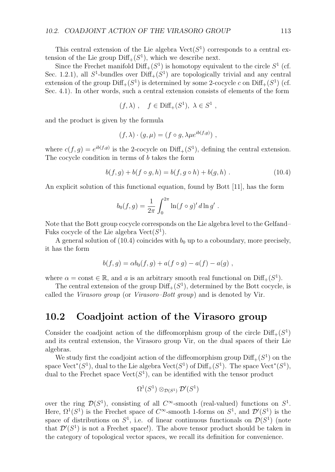This central extension of the Lie algebra  $Vect(S^1)$  corresponds to a central extension of the Lie group  $\text{Diff}_+(S^1)$ , which we describe next.

Since the Frechet manifold  $\text{Diff}_+(S^1)$  is homotopy equivalent to the circle  $S^1$  (cf. Sec. 1.2.1), all  $S^1$ -bundles over  $\text{Diff}_+(S^1)$  are topologically trivial and any central extension of the group  $Diff_{+}(S^{1})$  is determined by some 2-cocycle *c* on  $Diff_{+}(S^{1})$  (cf. Sec. 4.1). In other words, such a central extension consists of elements of the form

$$
(f,\lambda) , \quad f \in \text{Diff}_+(S^1), \ \lambda \in S^1 ,
$$

and the product is given by the formula

$$
(f, \lambda) \cdot (g, \mu) = (f \circ g, \lambda \mu e^{ib(f,g)}) ,
$$

where  $c(f, g) = e^{ib(f,g)}$  is the 2-cocycle on Diff<sub>+</sub>( $S^1$ ), defining the central extension. The cocycle condition in terms of *b* takes the form

$$
b(f,g) + b(f \circ g, h) = b(f, g \circ h) + b(g, h) . \tag{10.4}
$$

An explicit solution of this functional equation, found by Bott [11], has the form

$$
b_0(f,g) = \frac{1}{2\pi} \int_0^{2\pi} \ln(f \circ g)' d\ln g' .
$$

Note that the Bott group cocycle corresponds on the Lie algebra level to the Gelfand– Fuks cocycle of the Lie algebra  $Vect(S^1)$ .

A general solution of  $(10.4)$  coincides with  $b_0$  up to a coboundary, more precisely, it has the form

$$
b(f,g) = \alpha b_0(f,g) + a(f \circ g) - a(f) - a(g) ,
$$

where  $\alpha = \text{const} \in \mathbb{R}$ , and  $\alpha$  is an arbitrary smooth real functional on  $\text{Diff}_+(S^1)$ .

The central extension of the group  $\text{Diff}_+(S^1)$ , determined by the Bott cocycle, is called the *Virasoro group* (or *Virasoro–Bott group*) and is denoted by Vir.

### **10.2 Coadjoint action of the Virasoro group**

Consider the coadjoint action of the diffeomorphism group of the circle  $Diff_{+}(S^{1})$ and its central extension, the Virasoro group Vir, on the dual spaces of their Lie algebras.

We study first the coadjoint action of the diffeomorphism group  $\text{Diff}_+(S^1)$  on the space  $Vect^*(S^1)$ , dual to the Lie algebra  $Vect(S^1)$  of  $Diff_+(S^1)$ . The space  $Vect^*(S^1)$ , dual to the Frechet space  $Vect(S^1)$ , can be identified with the tensor product

$$
\Omega^1(S^1) \otimes_{\mathcal{D}(S^1)} \mathcal{D}'(S^1)
$$

over the ring  $\mathcal{D}(S^1)$ , consisting of all  $C^{\infty}$ -smooth (real-valued) functions on  $S^1$ . Here,  $\Omega^1(S^1)$  is the Frechet space of  $C^{\infty}$ -smooth 1-forms on  $S^1$ , and  $\mathcal{D}'(S^1)$  is the space of distributions on  $S^1$ , i.e. of linear continuous functionals on  $\mathcal{D}(S^1)$  (note that  $\mathcal{D}'(S^1)$  is not a Frechet space!). The above tensor product should be taken in the category of topological vector spaces, we recall its definition for convenience.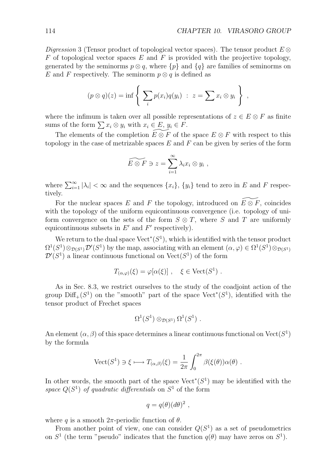*Digression* 3 (Tensor product of topological vector spaces)*.* The tensor product *E ⊗ F* of topological vector spaces *E* and *F* is provided with the projective topology, generated by the seminorms  $p \otimes q$ , where  $\{p\}$  and  $\{q\}$  are families of seminorms on *E* and *F* respectively. The seminorm  $p \otimes q$  is defined as

$$
(p \otimes q)(z) = \inf \left\{ \sum_i p(x_i)q(y_i) : z = \sum x_i \otimes y_i \right\},\,
$$

where the infimum is taken over all possible representations of  $z \in E \otimes F$  as finite sums of the form  $\sum x_i \otimes y_i$  with  $x_i \in E$ ,  $y_i \in F$ .

The elements of the completion  $E \overset{\sim}{\otimes} F$  of the space  $E \otimes F$  with respect to this topology in the case of metrizable spaces *E* and *F* can be given by series of the form

$$
\widetilde{E \otimes F} \ni z = \sum_{i=1}^{\infty} \lambda_i x_i \otimes y_i ,
$$

where  $\sum_{i=1}^{\infty} |\lambda_i| < \infty$  and the sequences  $\{x_i\}$ ,  $\{y_i\}$  tend to zero in *E* and *F* respectively.

For the nuclear spaces  $E$  and  $F$  the topology, introduced on  $E \otimes F$ , coincides with the topology of the uniform equicontinuous convergence (i.e. topology of uniform convergence on the sets of the form  $S \otimes T$ , where *S* and *T* are uniformly equicontinuous subsets in  $E'$  and  $F'$  respectively).

We return to the dual space Vect*<sup>∗</sup>* (*S*<sup>1</sup>), which is identified with the tensor product  $\Omega^1(S^1) \otimes_{\mathcal{D}(S^1)} \mathcal{D}'(S^1)$  by the map, associating with an element  $(\alpha, \varphi) \in \Omega^1(S^1) \otimes_{\mathcal{D}(S^1)} \mathcal{D}'(S^1)$  $\mathcal{D}'(S^1)$  a linear continuous functional on  $\text{Vect}(S^1)$  of the form

$$
T_{(\alpha,\varphi)}(\xi) = \varphi[\alpha(\xi)], \quad \xi \in \text{Vect}(S^1) .
$$

As in Sec. 8.3, we restrict ourselves to the study of the coadjoint action of the group Diff+(*S*<sup>1</sup>) on the "smooth" part of the space Vect*<sup>∗</sup>* (*S*<sup>1</sup>), identified with the tensor product of Frechet spaces

$$
\Omega^1(S^1)\otimes_{\mathcal{D}(S^1)}\Omega^1(S^1)\ .
$$

An element  $(\alpha, \beta)$  of this space determines a linear continuous functional on  $Vect(S^1)$ by the formula

$$
\text{Vect}(S^1) \ni \xi \longmapsto T_{(\alpha,\beta)}(\xi) = \frac{1}{2\pi} \int_0^{2\pi} \beta(\xi(\theta)) \alpha(\theta) .
$$

In other words, the smooth part of the space Vect*<sup>∗</sup>* (*S*<sup>1</sup>) may be identified with the *space*  $Q(S^1)$  *of quadratic differentials* on  $S^1$  of the form

$$
q = q(\theta)(d\theta)^2 ,
$$

where *q* is a smooth  $2\pi$ -periodic function of  $\theta$ .

From another point of view, one can consider  $Q(S^1)$  as a set of pseudometrics on  $S<sup>1</sup>$  (the term "pseudo" indicates that the function  $q(\theta)$  may have zeros on  $S<sup>1</sup>$ ).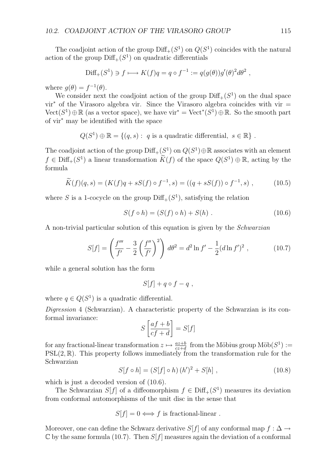The coadjoint action of the group  $\text{Diff}_+(S^1)$  on  $Q(S^1)$  coincides with the natural action of the group  $\text{Diff}_+(S^1)$  on quadratic differentials

$$
\text{Diff}_+(S^1) \ni f \longmapsto K(f)q = q \circ f^{-1} := q(g(\theta))g'(\theta)^2 d\theta^2 ,
$$

where  $q(\theta) = f^{-1}(\theta)$ .

We consider next the coadjoint action of the group  $\text{Diff}_+(S^1)$  on the dual space vir*<sup>∗</sup>* of the Virasoro algebra vir. Since the Virasoro algebra coincides with vir =  $Vect(S<sup>1</sup>) ⊕ ℝ$  (as a vector space), we have vir<sup>\*</sup> = Vect<sup>\*</sup>(S<sup>1</sup>) ⊕ℝ. So the smooth part of vir*<sup>∗</sup>* may be identified with the space

$$
Q(S^1) \oplus \mathbb{R} = \{(q, s) : q \text{ is a quadratic differential}, s \in \mathbb{R}\}.
$$

The coadjoint action of the group  $\text{Diff}_+(S^1)$  on  $Q(S^1) \oplus \mathbb{R}$  associates with an element  $f \in \text{Diff}_+(S^1)$  a linear transformation  $\widetilde{K}(f)$  of the space  $Q(S^1) \oplus \mathbb{R}$ , acting by the formula

$$
\widetilde{K}(f)(q,s) = (K(f)q + sS(f) \circ f^{-1}, s) = ((q + sS(f)) \circ f^{-1}, s) ,
$$
\n(10.5)

where *S* is a 1-cocycle on the group  $Diff_{+}(S^{1})$ , satisfying the relation

$$
S(f \circ h) = (S(f) \circ h) + S(h) . \tag{10.6}
$$

A non-trivial particular solution of this equation is given by the *Schwarzian*

$$
S[f] = \left(\frac{f'''}{f'} - \frac{3}{2} \left(\frac{f''}{f'}\right)^2\right) d\theta^2 = d^2 \ln f' - \frac{1}{2} (d \ln f')^2 ,\qquad (10.7)
$$

while a general solution has the form

$$
S[f] + q \circ f - q \; ,
$$

where  $q \in Q(S^1)$  is a quadratic differential.

*Digression* 4 (Schwarzian)*.* A characteristic property of the Schwarzian is its conformal invariance:

$$
S\left[\frac{af+b}{cf+d}\right] = S[f]
$$

for any fractional-linear transformation  $z \mapsto \frac{az+b}{cz+d}$  from the Möbius group  $\text{M\"ob}(S^1) :=$ PSL(2*,* R). This property follows immediately from the transformation rule for the Schwarzian

$$
S[f \circ h] = (S[f] \circ h) (h')^{2} + S[h], \qquad (10.8)
$$

which is just a decoded version of  $(10.6)$ .

The Schwarzian *S*[*f*] of a diffeomorphism  $f \in \text{Diff}_+(S^1)$  measures its deviation from conformal automorphisms of the unit disc in the sense that

 $S[f] = 0 \Longleftrightarrow f$  is fractional-linear .

Moreover, one can define the Schwarz derivative *S*[*f*] of any conformal map  $f : \Delta \rightarrow$  $\mathbb C$  by the same formula (10.7). Then  $S[f]$  measures again the deviation of a conformal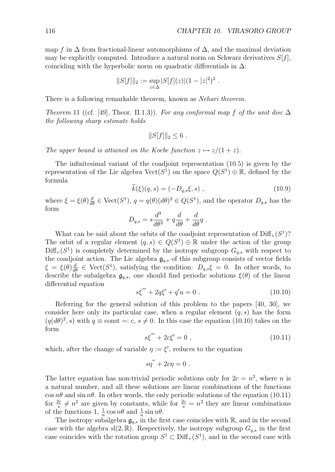map *f* in  $\Delta$  from fractional-linear automorphisms of  $\Delta$ , and the maximal deviation may be explicitly computed. Introduce a natural norm on Schwarz derivatives  $S[f]$ , coinciding with the hyperbolic norm on quadratic differentials in  $\Delta$ :

$$
||S[f]||_2 := \sup_{z \in \Delta} |S[f](z)|(1 - |z|^2)^2.
$$

There is a following remarkable theorem, known as *Nehari theorem*.

*Theorem* 11 ((cf. [49], Theor. II.1.3)). For any conformal map f of the unit disc  $\Delta$ *the following sharp estimate holds*

$$
||S[f]||_2 \leq 6.
$$

*The upper bound is attained on the Koebe function*  $z \mapsto z/(1+z)$ *.* 

The infinitesimal variant of the coadjoint representation (10.5) is given by the representation of the Lie algebra  $Vect(S^1)$  on the space  $Q(S^1) \oplus \mathbb{R}$ , defined by the formula

$$
\dot{k}(\xi)(q,s) = (-D_{q,s}\xi, s) , \qquad (10.9)
$$

where  $\xi = \xi(\theta) \frac{d}{d\theta} \in \text{Vect}(S^1)$ ,  $q = q(\theta)(d\theta)^2 \in Q(S^1)$ , and the operator  $D_{q,s}$  has the form

$$
D_{q,s} = s \frac{d^3}{d\theta^3} + q \frac{d}{d\theta} + \frac{d}{d\theta}q.
$$

What can be said about the orbits of the coadjoint representation of  $\text{Diff}_+(S^1)$ ? The orbit of a regular element  $(q, s) \in Q(S^1) \oplus \mathbb{R}$  under the action of the group  $Diff_{+}(S^{1})$  is completely determined by the isotropy subgroup  $G_{q,s}$  with respect to the coadjoint action. The Lie algebra  $\mathfrak{g}_{q,s}$  of this subgroup consists of vector fields  $\xi = \xi(\theta) \frac{d}{d\theta} \in \text{Vect}(S^1)$ , satisfying the condition:  $D_{q,s}\xi = 0$ . In other words, to describe the subalgebra  $\mathfrak{g}_{q,s}$ , one should find periodic solutions  $\xi(\theta)$  of the linear differential equation

$$
s\xi''' + 2q\xi' + q'u = 0.
$$
 (10.10)

Referring for the general solution of this problem to the papers [40, 30], we consider here only its particular case, when a regular element (*q, s*) has the form  $(q(d\theta)^2, s)$  with  $q \equiv \text{const} =: c, s \neq 0$ . In this case the equation (10.10) takes on the form

$$
s\xi''' + 2c\xi' = 0 , \qquad (10.11)
$$

which, after the change of variable  $\eta := \xi'$ , reduces to the equation

$$
s\eta^{''}+2c\eta=0.
$$

The latter equation has non-trivial periodic solutions only for  $2c = n^2$ , where *n* is a natural number, and all these solutions are linear combinations of the functions  $\cos n\theta$  and  $\sin n\theta$ . In other words, the only periodic solutions of the equation (10.11) for  $\frac{2c}{s} \neq n^2$  are given by constants, while for  $\frac{2c}{s} = n^2$  they are linear combinations of the functions  $1, \frac{1}{n} \cos n\theta$  and  $\frac{1}{n} \sin n\theta$ .

The isotropy subalgebra  $g_{q,s}$  in the first case coincides with  $\mathbb{R}$ , and in the second case with the algebra sl(2,  $\mathbb{R}$ ). Respectively, the isotropy subgroup  $G_{q,s}$  in the first case coincides with the rotation group  $S^1 \subset \text{Diff}_+(S^1)$ , and in the second case with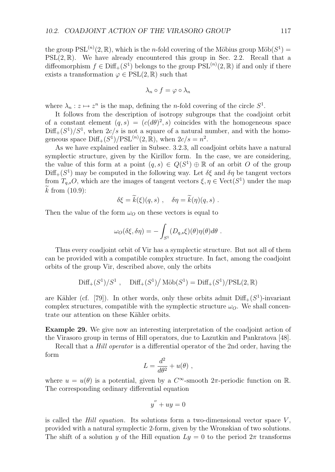the group  $PSL^{(n)}(2,\mathbb{R})$ , which is the *n*-fold covering of the Möbius group  $M\ddot{\text{o}}b(S^1)$  =  $PSL(2,\mathbb{R})$ . We have already encountered this group in Sec. 2.2. Recall that a diffeomorphism  $f \in \text{Diff}_+(S^1)$  belongs to the group  $\text{PSL}^{(n)}(2,\mathbb{R})$  if and only if there exists a transformation  $\varphi \in \mathrm{PSL}(2,\mathbb{R})$  such that

$$
\lambda_n \circ f = \varphi \circ \lambda_n
$$

where  $\lambda_n : z \mapsto z^n$  is the map, defining the *n*-fold covering of the circle  $S^1$ .

It follows from the description of isotropy subgroups that the coadjoint orbit of a constant element  $(q, s) = (c(d\theta)^2, s)$  coincides with the homogeneous space  $Diff_{+}(S^{1})/S^{1}$ , when  $2c/s$  is not a square of a natural number, and with the homogeneous space  $\text{Diff}_+(S^1)/\text{PSL}^{(n)}(2,\mathbb{R})$ , when  $2c/s = n^2$ .

As we have explained earlier in Subsec. 3.2.3, all coadjoint orbits have a natural symplectic structure, given by the Kirillov form. In the case, we are considering, the value of this form at a point  $(q, s) \in Q(S^1) \oplus \mathbb{R}$  of an orbit *O* of the group  $Diff_{+}(S^{1})$  may be computed in the following way. Let  $\delta \xi$  and  $\delta \eta$  be tangent vectors from  $T_{q,s}O$ , which are the images of tangent vectors  $\xi, \eta \in \text{Vect}(S^1)$  under the map  $k$  from  $(10.9)$ :

$$
\delta \xi = \widetilde{k}(\xi)(q, s) , \quad \delta \eta = \widetilde{k}(\eta)(q, s) .
$$

Then the value of the form  $\omega_O$  on these vectors is equal to

$$
\omega_O(\delta\xi,\delta\eta) = -\int_{S^1} (D_{q,s}\xi)(\theta)\eta(\theta)d\theta.
$$

Thus every coadjoint orbit of Vir has a symplectic structure. But not all of them can be provided with a compatible complex structure. In fact, among the coadjoint orbits of the group Vir, described above, only the orbits

$$
\text{Diff}_+(S^1)/S^1
$$
,  $\text{Diff}_+(S^1)/\text{M\"ob}(S^1) = \text{Diff}_+(S^1)/\text{PSL}(2,\mathbb{R})$ 

are Kähler (cf. [79]). In other words, only these orbits admit  $\text{Diff}_+(S^1)$ -invariant complex structures, compatible with the symplectic structure  $\omega_O$ . We shall concentrate our attention on these Kähler orbits.

**Example 29.** We give now an interesting interpretation of the coadjoint action of the Virasoro group in terms of Hill operators, due to Lazutkin and Pankratova [48].

Recall that a *Hill operator* is a differential operator of the 2nd order, having the form

$$
L = \frac{d^2}{d\theta^2} + u(\theta) ,
$$

where  $u = u(\theta)$  is a potential, given by a  $C^{\infty}$ -smooth  $2\pi$ -periodic function on R. The corresponding ordinary differential equation

$$
y'' + uy = 0
$$

is called the *Hill equation*. Its solutions form a two-dimensional vector space  $V$ , provided with a natural symplectic 2-form, given by the Wronskian of two solutions. The shift of a solution *y* of the Hill equation  $Ly = 0$  to the period  $2\pi$  transforms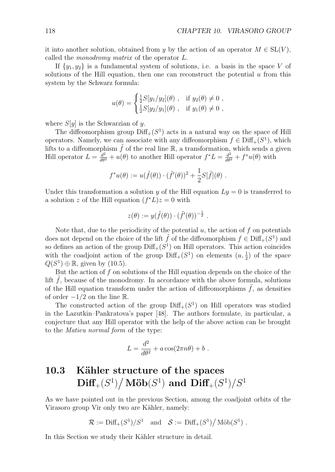it into another solution, obtained from *y* by the action of an operator  $M \in SL(V)$ , called the *monodromy matrix* of the operator *L*.

If  $\{y_1, y_2\}$  is a fundamental system of solutions, i.e. a basis in the space *V* of solutions of the Hill equation, then one can reconstruct the potential *u* from this system by the Schwarz formula:

$$
u(\theta) = \begin{cases} \frac{1}{2}S[y_1/y_2](\theta) , & \text{if } y_2(\theta) \neq 0 ,\\ \frac{1}{2}S[y_2/y_1](\theta) , & \text{if } y_1(\theta) \neq 0 , \end{cases}
$$

where  $S[y]$  is the Schwarzian of *y*.

The diffeomorphism group  $\text{Diff}_+(S^1)$  acts in a natural way on the space of Hill operators. Namely, we can associate with any diffeomorphism  $f \in \text{Diff}_+(S^1)$ , which lifts to a diffeomorphism  $\tilde{f}$  of the real line R, a transformation, which sends a given Hill operator  $L = \frac{d^2}{d\theta^2} + u(\theta)$  to another Hill operator  $f^*L = \frac{d^2}{d\theta^2} + f^*u(\theta)$  with

$$
f^*u(\theta) := u(\tilde{f}(\theta)) \cdot (\tilde{f}'(\theta))^2 + \frac{1}{2}S[\tilde{f}](\theta).
$$

Under this transformation a solution *y* of the Hill equation  $Ly = 0$  is transferred to a solution *z* of the Hill equation  $(f^*L)z = 0$  with

$$
z(\theta) := y(\tilde{f}(\theta)) \cdot (\tilde{f}'(\theta))^{-\frac{1}{2}}.
$$

Note that, due to the periodicity of the potential  $u$ , the action of  $f$  on potentials does not depend on the choice of the lift  $\hat{f}$  of the diffeomorphism  $f \in \text{Diff}_+(S^1)$  and so defines an action of the group  $\text{Diff}_+(S^1)$  on Hill operators. This action coincides with the coadjoint action of the group  $\text{Diff}_+(S^1)$  on elements  $(u, \frac{1}{2})$  of the space  $Q(S^1) \oplus \mathbb{R}$ , given by (10.5).

But the action of *f* on solutions of the Hill equation depends on the choice of the lift  $f$ , because of the monodromy. In accordance with the above formula, solutions of the Hill equation transform under the action of diffeomorphisms  $\tilde{f}$ , as densities of order *−*1*/*2 on the line R.

The constructed action of the group  $Diff_{+}(S^{1})$  on Hill operators was studied in the Lazutkin–Pankratova's paper [48]. The authors formulate, in particular, a conjecture that any Hill operator with the help of the above action can be brought to the *Matieu normal form* of the type:

$$
L = \frac{d^2}{d\theta^2} + a\cos(2\pi n\theta) + b.
$$

# 10.3 Kähler structure of the spaces  $\mathbf{Diff}_{+}(S^{1})\big/\,\mathbf{M\ddot{o}b}(S^{1})$  and  $\mathbf{Diff}_{+}(S^{1})\big/S^{1}$

As we have pointed out in the previous Section, among the coadjoint orbits of the Virasoro group Vir only two are Kähler, namely:

$$
\mathcal{R} := \mathrm{Diff}_+(S^1)/S^1 \quad \text{and} \quad \mathcal{S} := \mathrm{Diff}_+(S^1)/\,\mathrm{M\ddot{o}b}(S^1) \; .
$$

In this Section we study their Kähler structure in detail.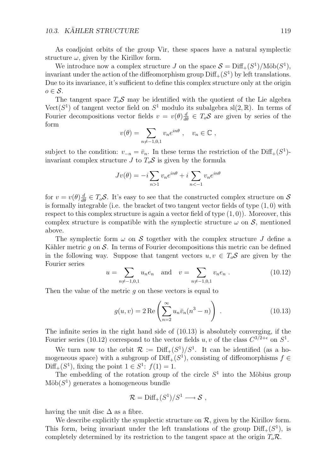As coadjoint orbits of the group Vir, these spaces have a natural symplectic structure  $\omega$ , given by the Kirillov form.

We introduce now a complex structure *J* on the space  $S = \text{Diff}_+(S^1)/\text{M\"ob}(S^1)$ , invariant under the action of the diffeomorphism group  $\text{Diff}_+(S^1)$  by left translations. Due to its invariance, it's sufficient to define this complex structure only at the origin *o ∈ S*.

The tangent space  $T_o \mathcal{S}$  may be identified with the quotient of the Lie algebra Vect( $S^1$ ) of tangent vector field on  $S^1$  modulo its subalgebra sl(2, R). In terms of Fourier decompositions vector fields  $v = v(\theta) \frac{d}{d\theta} \in T_o \mathcal{S}$  are given by series of the form

$$
v(\theta) = \sum_{n \neq -1,0,1} v_n e^{in\theta} , \quad v_n \in \mathbb{C} ,
$$

subject to the condition:  $v_{-n} = \bar{v}_n$ . In these terms the restriction of the Diff<sub>+</sub>( $S^1$ )invariant complex structure *J* to  $T_oS$  is given by the formula

$$
Jv(\theta) = -i \sum_{n>1} v_n e^{in\theta} + i \sum_{n<-1} v_n e^{in\theta}
$$

for  $v = v(\theta) \frac{d}{d\theta} \in T_o \mathcal{S}$ . It's easy to see that the constructed complex structure on  $\mathcal{S}$ is formally integrable (i.e. the bracket of two tangent vector fields of type (1*,* 0) with respect to this complex structure is again a vector field of type (1*,* 0)). Moreover, this complex structure is compatible with the symplectic structure  $\omega$  on  $\mathcal{S}$ , mentioned above.

The symplectic form  $\omega$  on *S* together with the complex structure *J* define a Kähler metric  $q$  on  $S$ . In terms of Fourier decompositions this metric can be defined in the following way. Suppose that tangent vectors  $u, v \in T_oS$  are given by the Fourier series

$$
u = \sum_{n \neq -1,0,1} u_n e_n \quad \text{and} \quad v = \sum_{n \neq -1,0,1} v_n e_n . \tag{10.12}
$$

Then the value of the metric *g* on these vectors is equal to

$$
g(u, v) = 2 \operatorname{Re} \left( \sum_{n=2}^{\infty} u_n \bar{v}_n (n^3 - n) \right) . \tag{10.13}
$$

The infinite series in the right hand side of (10.13) is absolutely converging, if the Fourier series (10.12) correspond to the vector fields  $u, v$  of the class  $C^{3/2+\epsilon}$  on  $S^1$ .

We turn now to the orbit  $\mathcal{R} := \text{Diff}_+(S^1)/S^1$ . It can be identified (as a homogeneous space) with a subgroup of Diff<sub>+</sub> $(S<sup>1</sup>)$ , consisting of diffeomorphisms  $f \in$  $Diff_{+}(S^{1})$ , fixing the point  $1 \in S^{1}$ :  $f(1) = 1$ .

The embedding of the rotation group of the circle  $S<sup>1</sup>$  into the Möbius group  $M\ddot{\mathrm{o}}\mathrm{b}(S^1)$  generates a homogeneous bundle

$$
\mathcal{R} = \mathrm{Diff}_+(S^1)/S^1 \longrightarrow \mathcal{S},
$$

having the unit disc  $\Delta$  as a fibre.

We describe explicitly the symplectic structure on  $R$ , given by the Kirillov form. This form, being invariant under the left translations of the group  $\text{Diff}_+(S^1)$ , is completely determined by its restriction to the tangent space at the origin  $T_o \mathcal{R}$ .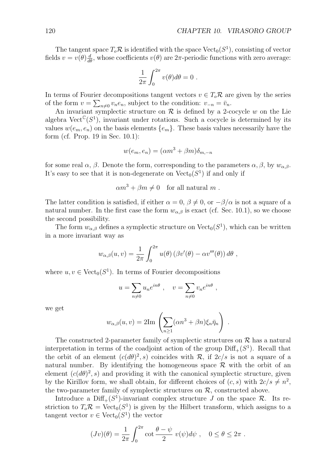The tangent space  $T_o \mathcal{R}$  is identified with the space  $Vect_0(S^1)$ , consisting of vector fields  $v = v(\theta) \frac{d}{d\theta}$ , whose coefficients  $v(\theta)$  are  $2\pi$ -periodic functions with zero average:

$$
\frac{1}{2\pi} \int_0^{2\pi} v(\theta) d\theta = 0.
$$

In terms of Fourier decompositions tangent vectors  $v \in T_o \mathcal{R}$  are given by the series of the form  $v = \sum_{n\neq 0} v_n e_n$ , subject to the condition:  $v_{-n} = \bar{v}_n$ .

An invariant symplectic structure on  $R$  is defined by a 2-cocycle  $w$  on the Lie algebra  $\text{Vect}^{\mathbb{C}}(S^1)$ , invariant under rotations. Such a cocycle is determined by its values  $w(e_m, e_n)$  on the basis elements  $\{e_m\}$ . These basis values necessarily have the form (cf. Prop. 19 in Sec. 10.1):

$$
w(e_m, e_n) = (\alpha m^3 + \beta m)\delta_{m, -n}
$$

for some real  $\alpha$ ,  $\beta$ . Denote the form, corresponding to the parameters  $\alpha$ ,  $\beta$ , by  $w_{\alpha,\beta}$ . It's easy to see that it is non-degenerate on  $Vect_0(S^1)$  if and only if

$$
\alpha m^3 + \beta m \neq 0 \quad \text{for all natural } m.
$$

The latter condition is satisfied, if either  $\alpha = 0$ ,  $\beta \neq 0$ , or  $-\beta/\alpha$  is not a square of a natural number. In the first case the form  $w_{\alpha,\beta}$  is exact (cf. Sec. 10.1), so we choose the second possibility.

The form  $w_{\alpha,\beta}$  defines a symplectic structure on  $Vect_0(S^1)$ , which can be written in a more invariant way as

$$
w_{\alpha,\beta}(u,v) = \frac{1}{2\pi} \int_0^{2\pi} u(\theta) \left( \beta v'(\theta) - \alpha v'''(\theta) \right) d\theta,
$$

where  $u, v \in \text{Vect}_0(S^1)$ . In terms of Fourier decompositions

$$
u=\sum_{n\neq 0}u_ne^{in\theta}\ ,\quad v=\sum_{n\neq 0}v_ne^{in\theta}\ ,
$$

we get

$$
w_{\alpha,\beta}(u,v) = 2\mathrm{Im}\left(\sum_{n\geq 1}(\alpha n^3 + \beta n)\xi_n\bar{\eta}_n\right)
$$

*.*

The constructed 2-parameter family of symplectic structures on  $R$  has a natural interpretation in terms of the coadjoint action of the group  $\text{Diff}_+(S^1)$ . Recall that the orbit of an element  $(c(d\theta)^2, s)$  coincides with *R*, if  $2c/s$  is not a square of a natural number. By identifying the homogeneous space  $\mathcal R$  with the orbit of an element  $(c(d\theta)^2, s)$  and providing it with the canonical symplectic structure, given by the Kirillov form, we shall obtain, for different choices of  $(c, s)$  with  $2c/s \neq n^2$ . the two-parameter family of symplectic structures on  $R$ , constructed above.

Introduce a  $Diff_{+}(S^{1})$ -invariant complex structure *J* on the space *R*. Its restriction to  $T_o \mathcal{R} = \text{Vect}_0(S^1)$  is given by the Hilbert transform, which assigns to a tangent vector  $v \in \text{Vect}_0(S^1)$  the vector

$$
(Jv)(\theta) = \frac{1}{2\pi} \int_0^{2\pi} \cot \frac{\theta - \psi}{2} v(\psi) d\psi, \quad 0 \le \theta \le 2\pi.
$$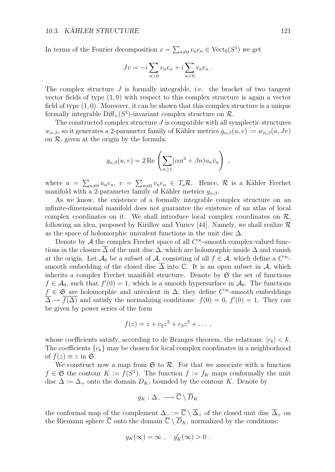In terms of the Fourier decomposition  $v = \sum_{n\neq 0} v_n e_n \in \text{Vect}_0(S^1)$  we get

$$
Jv = -i \sum_{n>0} v_n e_n + i \sum_{n<0} v_n e_n
$$
.

The complex structure *J* is formally integrable, i.e. the bracket of two tangent vector fields of type  $(1,0)$  with respect to this complex structure is again a vector field of type (1*,* 0). Moreover, it can be shown that this complex structure is a unique formally integrable  $\text{Diff}_+(S^1)$ -invariant complex structure on  $\mathcal{R}$ .

The constructed complex structure *J* is compatible with all symplectic structures  $w_{\alpha,\beta}$ , so it generates a 2-parameter family of Kähler metrics  $g_{\alpha,\beta}(u, v) := w_{\alpha,\beta}(u, Jv)$ on  $R$ , given at the origin by the formula:

$$
g_{\alpha,\beta}(u,v) = 2 \operatorname{Re} \left( \sum_{n \ge 1} (\alpha n^3 + \beta n) u_n \overline{v}_n \right) ,
$$

where  $u = \sum_{n\neq 0} u_n e_n$ ,  $v = \sum_{n\neq 0} v_n e_n \in T_o \mathcal{R}$ . Hence,  $\mathcal{R}$  is a Kähler Frechet manifold with a 2-parameter family of Kähler metrics  $g_{\alpha,\beta}$ .

As we know, the existence of a formally integrable complex structure on an infinite-dimensional manifold does not guarantee the existence of an atlas of local complex coordinates on it. We shall introduce local complex coordinates on  $R$ , following an idea, proposed by Kirillov and Yuriev [44]. Namely, we shall realize *R* as the space of holomorphic univalent functions in the unit disc  $\Delta$ .

Denote by *A* the complex Frechet space of all  $C^{\infty}$ -smooth complex-valued functions in the closure  $\overline{\Delta}$  of the unit disc  $\Delta$ , which are holomorphic inside  $\Delta$  and vanish at the origin. Let  $\mathcal{A}_0$  be a subset of  $\mathcal{A}$ , consisting of all  $f \in \mathcal{A}$ , which define a  $C^\infty$ smooth embedding of the closed disc  $\overline{\Delta}$  into  $\mathbb C$ . It is an open subset in  $\mathcal A$ , which inherits a complex Frechet manifold structure. Denote by  $\mathfrak S$  the set of functions  $f \in \mathcal{A}_0$ , such that  $f'(0) = 1$ , which is a smooth hypersurface in  $\mathcal{A}_0$ . The functions *f*  $\in \mathfrak{S}$  are holomorphic and univalent in  $\Delta$ , they define  $C^{\infty}$ -smooth embeddings  $\overline{\Delta} \to f(\Delta)$  and satisfy the normalizing conditions:  $f(0) = 0$ ,  $f'(0) = 1$ . They can be given by power series of the form

$$
f(z) = z + c_2 z^2 + c_3 z^3 + \dots,
$$

whose coefficients satisfy, according to de Branges theorem, the relations:  $|c_k| < k$ . The coefficients  ${c_k}$  may be chosen for local complex coordinates in a neighborhood of  $f(z) \equiv z$  in G.

We construct now a map from  $\mathfrak{S}$  to  $\mathcal{R}$ . For that we associate with a function *f* ∈ **S** the contour *K* := *f*(*S*<sup>1</sup>). The function *f* := *f<sub>K</sub>* maps conformally the unit disc  $\Delta := \Delta_+$  onto the domain  $D_K$ , bounded by the contour *K*. Denote by

$$
g_K:\Delta_-\longrightarrow \overline{\mathbb C}\setminus \overline{D}_K
$$

the conformal map of the complement  $\Delta_-\coloneqq \overline{\mathbb{C}}\setminus\overline{\Delta}_+$  of the closed unit disc  $\overline{\Delta}_+$  on the Riemann sphere  $\overline{\mathbb{C}}$  onto the domain  $\overline{\mathbb{C}} \setminus \overline{D}_K$ , normalized by the conditions:

$$
g_K(\infty) = \infty , \quad g'_K(\infty) > 0 .
$$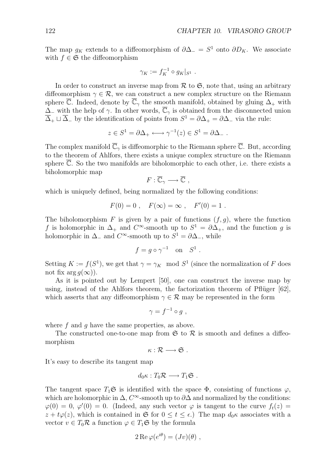The map  $g_K$  extends to a diffeomorphism of  $\partial \Delta_-\equiv S^1$  onto  $\partial D_K$ . We associate with  $f \in \mathfrak{S}$  the diffeomorphism

$$
\gamma_K := f_K^{-1} \circ g_K|_{S^1} .
$$

In order to construct an inverse map from  $R$  to  $\mathfrak{S}$ , note that, using an arbitrary diffeomorphism  $\gamma \in \mathcal{R}$ , we can construct a new complex structure on the Riemann sphere  $\overline{\mathbb{C}}$ . Indeed, denote by  $\overline{\mathbb{C}}_{\gamma}$  the smooth manifold, obtained by gluing  $\Delta_{+}$  with ∆*<sup>−</sup>* with the help of *γ*. In other words, C*<sup>γ</sup>* is obtained from the disconnected union  $\overline{\Delta}_+ \sqcup \overline{\Delta}_-$  by the identification of points from  $S^1 = \partial \Delta_+ = \partial \Delta_-$  via the rule:

$$
z \in S^1 = \partial \Delta_+ \longleftrightarrow \gamma^{-1}(z) \in S^1 = \partial \Delta_- .
$$

The complex manifold  $\overline{\mathbb{C}}_y$  is diffeomorphic to the Riemann sphere  $\overline{\mathbb{C}}$ . But, according to the theorem of Ahlfors, there exists a unique complex structure on the Riemann sphere C. So the two manifolds are biholomorphic to each other, i.e. there exists a biholomorphic map

$$
F:\overline{\mathbb{C}}_{\gamma}\longrightarrow\overline{\mathbb{C}}\ ,
$$

which is uniquely defined, being normalized by the following conditions:

$$
F(0) = 0
$$
,  $F(\infty) = \infty$ ,  $F'(0) = 1$ .

The biholomorphism  $F$  is given by a pair of functions  $(f, g)$ , where the function *f* is holomorphic in  $\Delta_+$  and  $C^{\infty}$ -smooth up to  $S^1 = \partial \Delta_+$ , and the function *g* is holomorphic in  $\Delta$ <sub>−</sub> and  $C^{\infty}$ -smooth up to  $S^1 = \partial \Delta$ <sub>−</sub>, while

$$
f = g \circ \gamma^{-1} \quad \text{on} \quad S^1 .
$$

Setting  $K := f(S^1)$ , we get that  $\gamma = \gamma_K \mod S^1$  (since the normalization of *F* does not fix arg  $q(\infty)$ ).

As it is pointed out by Lempert [50], one can construct the inverse map by using, instead of the Ahlfors theorem, the factorization theorem of Pflüger  $[62]$ , which asserts that any diffeomorphism  $\gamma \in \mathcal{R}$  may be represented in the form

$$
\gamma = f^{-1} \circ g ,
$$

where f and q have the same properties, as above.

The constructed one-to-one map from  $\mathfrak S$  to  $\mathcal R$  is smooth and defines a diffeomorphism

$$
\kappa:\mathcal{R}\longrightarrow\mathfrak{S}.
$$

It's easy to describe its tangent map

$$
d_0\kappa: T_0\mathcal{R} \longrightarrow T_1\mathfrak{S} .
$$

The tangent space  $T_1\mathfrak{S}$  is identified with the space  $\Phi$ , consisting of functions  $\varphi$ , which are holomorphic in  $\Delta$ ,  $C^{\infty}$ -smooth up to  $\partial\Delta$  and normalized by the conditions:  $\varphi(0) = 0, \varphi'(0) = 0.$  (Indeed, any such vector  $\varphi$  is tangent to the curve  $f_t(z) =$  $z + t\varphi(z)$ , which is contained in G for  $0 \le t \le \epsilon$ .) The map  $d_0\kappa$  associates with a vector  $v \in T_0 \mathcal{R}$  a function  $\varphi \in T_1 \mathfrak{S}$  by the formula

$$
2 \operatorname{Re} \varphi(e^{i\theta}) = (Jv)(\theta) ,
$$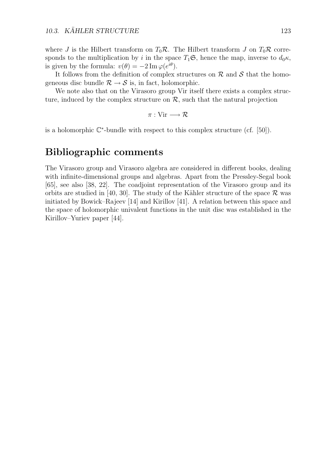where *J* is the Hilbert transform on  $T_0 \mathcal{R}$ . The Hilbert transform *J* on  $T_0 \mathcal{R}$  corresponds to the multiplication by *i* in the space  $T_1\mathfrak{S}$ , hence the map, inverse to  $d_0\kappa$ , is given by the formula:  $v(\theta) = -2 \operatorname{Im} \varphi(e^{i\theta}).$ 

It follows from the definition of complex structures on *R* and *S* that the homogeneous disc bundle  $\mathcal{R} \rightarrow \mathcal{S}$  is, in fact, holomorphic.

We note also that on the Virasoro group Vir itself there exists a complex structure, induced by the complex structure on  $R$ , such that the natural projection

$$
\pi: \mathrm{Vir} \longrightarrow \mathcal{R}
$$

is a holomorphic C*<sup>∗</sup>*-bundle with respect to this complex structure (cf. [50]).

### **Bibliographic comments**

The Virasoro group and Virasoro algebra are considered in different books, dealing with infinite-dimensional groups and algebras. Apart from the Pressley-Segal book [65], see also [38, 22]. The coadjoint representation of the Virasoro group and its orbits are studied in [40, 30]. The study of the Kähler structure of the space  $\mathcal R$  was initiated by Bowick–Rajeev [14] and Kirillov [41]. A relation between this space and the space of holomorphic univalent functions in the unit disc was established in the Kirillov–Yuriev paper [44].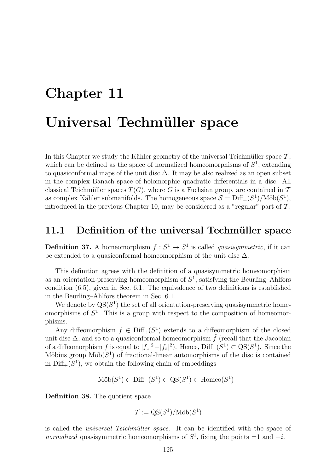# **Chapter 11 Universal Techmüller space**

In this Chapter we study the Kähler geometry of the universal Teichmüller space  $\mathcal{T}$ , which can be defined as the space of normalized homeomorphisms of  $S<sup>1</sup>$ , extending to quasiconformal maps of the unit disc  $\Delta$ . It may be also realized as an open subset in the complex Banach space of holomorphic quadratic differentials in a disc. All classical Teichmüller spaces  $T(G)$ , where *G* is a Fuchsian group, are contained in  $T$ as complex Kähler submanifolds. The homogeneous space  $S = \text{Diff}_{+}(S^1)/\text{M\"ob}(S^1)$ , introduced in the previous Chapter 10, may be considered as a "regular" part of *T* .

### **11.1 Definition of the universal Techmüller space**

**Definition 37.** A homeomorphism  $f: S^1 \to S^1$  is called *quasisymmetric*, if it can be extended to a quasiconformal homeomorphism of the unit disc  $\Delta$ .

This definition agrees with the definition of a quasisymmetric homeomorphism as an orientation-preserving homeomorphism of  $S<sup>1</sup>$ , satisfying the Beurling–Ahlfors condition (6.5), given in Sec. 6.1. The equivalence of two definitions is established in the Beurling–Ahlfors theorem in Sec. 6.1.

We denote by  $QS(S^1)$  the set of all orientation-preserving quasisymmetric homeomorphisms of  $S<sup>1</sup>$ . This is a group with respect to the composition of homeomorphisms.

Any diffeomorphism  $f \in \text{Diff}_+(S^1)$  extends to a diffeomorphism of the closed unit disc  $\overline{\Delta}$ , and so to a quasiconformal homeomorphism  $\tilde{f}$  (recall that the Jacobian of a diffeomorphism *f* is equal to  $|f_z|^2 - |f_{\bar{z}}|^2$ . Hence,  $\text{Diff}_+(S^1) \subset \text{QS}(S^1)$ . Since the Möbius group  $M\ddot{\upphi}$  of fractional-linear automorphisms of the disc is contained in  $Diff_{+}(S^{1})$ , we obtain the following chain of embeddings

$$
\text{M\"ob}(S^1) \subset \text{Diff}_+(S^1) \subset \text{QS}(S^1) \subset \text{Homeo}(S^1) .
$$

**Definition 38.** The quotient space

$$
\mathcal{T} := \mathrm{QS}(S^1)/\mathrm{M\ddot{o}b}(S^1)
$$

is called the *universal Teichmüller space*. It can be identified with the space of *normalized* quasisymmetric homeomorphisms of  $S^1$ , fixing the points  $\pm 1$  and  $-i$ .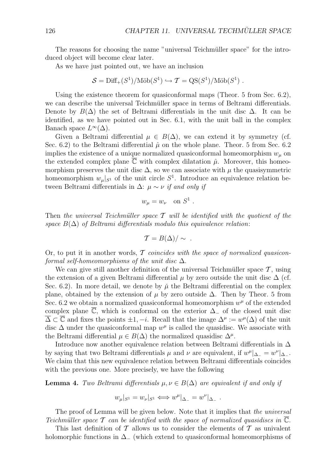The reasons for choosing the name "universal Teichmüller space" for the introduced object will become clear later.

As we have just pointed out, we have an inclusion

$$
S = \text{Diff}_+(S^1)/\text{M\"ob}(S^1) \hookrightarrow \mathcal{T} = \text{QS}(S^1)/\text{M\"ob}(S^1) .
$$

Using the existence theorem for quasiconformal maps (Theor. 5 from Sec. 6.2), we can describe the universal Teichmüller space in terms of Beltrami differentials. Denote by  $B(\Delta)$  the set of Beltrami differentials in the unit disc  $\Delta$ . It can be identified, as we have pointed out in Sec. 6.1, with the unit ball in the complex Banach space  $L^{\infty}(\Delta)$ .

Given a Beltrami differential  $\mu \in B(\Delta)$ , we can extend it by symmetry (cf. Sec. 6.2) to the Beltrami differential  $\hat{\mu}$  on the whole plane. Theor. 5 from Sec. 6.2 implies the existence of a unique normalized quasiconformal homeomorphism  $w<sub>\mu</sub>$  on the extended complex plane  $\overline{\mathbb{C}}$  with complex dilatation  $\hat{\mu}$ . Moreover, this homeomorphism preserves the unit disc  $\Delta$ , so we can associate with  $\mu$  the quasisymmetric homeomorphism  $w_{\mu}|_{S^1}$  of the unit circle  $S^1$ . Introduce an equivalence relation between Beltrami differentials in  $\Delta$ :  $\mu \sim \nu$  *if and only if* 

$$
w_{\mu} = w_{\nu} \quad \text{on } S^1 .
$$

Then *the universal Teichm¨uller space T will be identified with the quotient of the space*  $B(\Delta)$  *of Beltrami differentials modulo this equivalence relation:* 

$$
\mathcal{T}=B(\Delta)/\sim .
$$

Or, to put it in another words, *T coincides with the space of normalized quasiconformal self-homeomorphisms of the unit disc* ∆.

We can give still another definition of the universal Teichmüller space  $\mathcal{T}$ , using the extension of a given Beltrami differential  $\mu$  by zero outside the unit disc  $\Delta$  (cf. Sec. 6.2). In more detail, we denote by  $\check{\mu}$  the Beltrami differential on the complex plane, obtained by the extension of  $\mu$  by zero outside  $\Delta$ . Then by Theor. 5 from Sec. 6.2 we obtain a normalized quasiconformal homeomorphism  $w^{\mu}$  of the extended complex plane C, which is conformal on the exterior ∆*<sup>−</sup>* of the closed unit disc  $\overline{\Delta} \subset \overline{\mathbb{C}}$  and fixes the points  $\pm 1, -i$ . Recall that the image  $\Delta^{\mu} := w^{\mu}(\Delta)$  of the unit disc  $\Delta$  under the quasiconformal map  $w^{\mu}$  is called the quasidisc. We associate with the Beltrami differential  $\mu \in B(\Delta)$  the normalized quasidisc  $\Delta^{\mu}$ .

Introduce now another equivalence relation between Beltrami differentials in ∆ by saying that two Beltrami differentials  $\mu$  and  $\nu$  are equivalent, if  $w^{\mu}|_{\Delta_{-}} = w^{\nu}|_{\Delta_{-}}$ . We claim that this new equivalence relation between Beltrami differentials coincides with the previous one. More precisely, we have the following

#### **Lemma 4.** *Two Beltrami differentials*  $μ, ν ∈ B(Δ)$  *are equivalent if and only if*

$$
w_{\mu}|_{S^1} = w_{\nu}|_{S^1} \Longleftrightarrow w^{\mu}|_{\Delta_-} = w^{\nu}|_{\Delta_-}.
$$

The proof of Lemma will be given below. Note that it implies that *the universal Teichmüller space*  $\mathcal T$  *can be identified with the space of normalized quasidiscs in*  $\mathbb C$ .

This last definition of *T* allows us to consider the elements of *T* as univalent holomorphic functions in ∆*<sup>−</sup>* (which extend to quasiconformal homeomorphisms of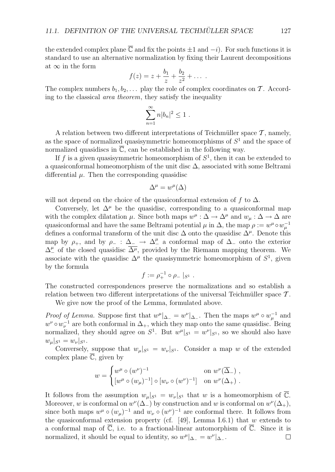the extended complex plane  $\overline{C}$  and fix the points  $\pm 1$  and  $-i$ ). For such functions it is standard to use an alternative normalization by fixing their Laurent decompositions at *∞* in the form

$$
f(z) = z + \frac{b_1}{z} + \frac{b_2}{z^2} + \dots
$$

The complex numbers  $b_1, b_2, \ldots$  play the role of complex coordinates on  $\mathcal T$ . According to the classical *area theorem*, they satisfy the inequality

$$
\sum_{n=1}^{\infty} n|b_n|^2 \le 1.
$$

A relation between two different interpretations of Teichmüller space  $\mathcal{T}$ , namely, as the space of normalized quasisymmetric homeomorphisms of *S*<sup>1</sup> and the space of normalized quasidiscs in  $\overline{\mathbb{C}}$ , can be established in the following way.

If  $f$  is a given quasisymmetric homeomorphism of  $S<sup>1</sup>$ , then it can be extended to a quasiconformal homeomorphism of the unit disc ∆, associated with some Beltrami differential  $\mu$ . Then the corresponding quasidisc

$$
\Delta^{\mu} = w^{\mu}(\Delta)
$$

will not depend on the choice of the quasiconformal extension of  $f$  to  $\Delta$ .

Conversely, let  $\Delta^{\mu}$  be the quasidisc, corresponding to a quasiconformal map with the complex dilatation  $\mu$ . Since both maps  $w^{\mu} : \Delta \to \Delta^{\mu}$  and  $w_{\mu} : \Delta \to \Delta$  are quasiconformal and have the same Beltrami potential  $\mu$  in  $\Delta$ , the map  $\rho := w^{\mu} \circ w_{\mu}^{-1}$ defines a conformal transform of the unit disc ∆ onto the quasidisc ∆*<sup>µ</sup>*. Denote this map by  $\rho_+$ , and by  $\rho_-$  :  $\Delta_-\to\Delta_+^{\mu}$  a conformal map of  $\Delta_-$  onto the exterior  $\Delta^{\mu}_{-}$  of the closed quasidisc  $\overline{\Delta^{\mu}}$ , provided by the Riemann mapping theorem. We associate with the quasidisc  $\Delta^{\mu}$  the quasisymmetric homeomorphism of  $S^1$ , given by the formula

$$
f := \rho_+^{-1} \circ \rho_- |_{S^1} .
$$

The constructed correspondences preserve the normalizations and so establish a relation between two different interpretations of the universal Teichmüller space  $\mathcal T$ .

We give now the proof of the Lemma, formulated above.

*Proof of Lemma.* Suppose first that  $w^{\mu}|_{\Delta_{-}} = w^{\nu}|_{\Delta_{-}}$ . Then the maps  $w^{\mu} \circ w_{\mu}^{-1}$  and  $w^{\nu} \circ w_{\nu}^{-1}$  are both conformal in  $\Delta_{+}$ , which they map onto the same quasidisc. Being normalized, they should agree on  $S^1$ . But  $w^{\mu}|_{S^1} = w^{\nu}|_{S^1}$ , so we should also have  $w_{\mu}|_{S^1} = w_{\nu}|_{S^1}.$ 

Conversely, suppose that  $w_{\mu}|_{S^1} = w_{\nu}|_{S^1}$ . Consider a map *w* of the extended complex plane  $\overline{\mathbb{C}}$ , given by

$$
w = \begin{cases} w^{\mu} \circ (w^{\nu})^{-1} & \text{on } w^{\nu}(\overline{\Delta}_{-}) , \\ [w^{\mu} \circ (w_{\mu})^{-1}] \circ [w_{\nu} \circ (w^{\nu})^{-1}] & \text{on } w^{\nu}(\Delta_{+}) . \end{cases}
$$

It follows from the assumption  $w_{\mu}|_{S^1} = w_{\nu}|_{S^1}$  that *w* is a homeomorphism of  $\mathbb{C}$ . Moreover, *w* is conformal on  $w^{\nu}(\Delta_{-})$  by construction and *w* is conformal on  $w^{\nu}(\Delta_{+})$ , since both maps  $w^{\mu} \circ (w_{\mu})^{-1}$  and  $w_{\nu} \circ (w^{\nu})^{-1}$  are conformal there. It follows from the quasiconformal extension property (cf. [49], Lemma I.6.1) that *w* extends to a conformal map of  $\overline{\mathbb{C}}$ , i.e. to a fractional-linear automorphism of  $\overline{\mathbb{C}}$ . Since it is normalized, it should be equal to identity, so  $w^{\mu}|_{\Delta_{-}} = w^{\nu}|_{\Delta_{-}}$ .  $\Box$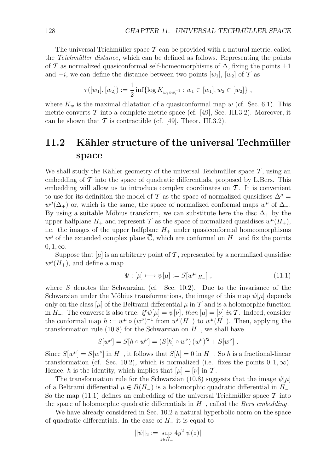The universal Teichmüller space  $\mathcal T$  can be provided with a natural metric, called the *Teichmüller distance*, which can be defined as follows. Representing the points of *T* as normalized quasiconformal self-homeomorphisms of ∆, fixing the points *±*1 and  $-i$ , we can define the distance between two points  $[w_1]$ ,  $[w_2]$  of  $\mathcal T$  as

$$
\tau([w_1], [w_2]) := \frac{1}{2} \inf \{ \log K_{w_2 \circ w_1^{-1}} : w_1 \in [w_1], w_2 \in [w_2] \},
$$

where  $K_w$  is the maximal dilatation of a quasiconformal map  $w$  (cf. Sec. 6.1). This metric converts  $\mathcal T$  into a complete metric space (cf. [49], Sec. III.3.2). Moreover, it can be shown that  $\mathcal T$  is contractible (cf. [49], Theor. III.3.2).

## **11.2** Kähler structure of the universal Techmüller **space**

We shall study the Kähler geometry of the universal Teichmüller space  $\mathcal{T}$ , using an embedding of  $\mathcal T$  into the space of quadratic differentials, proposed by L.Bers. This embedding will allow us to introduce complex coordinates on *T* . It is convenient to use for its definition the model of  $\mathcal T$  as the space of normalized quasidiscs  $\Delta^{\mu}$  =  $w^{\mu}(\Delta_{+})$  or, which is the same, the space of normalized conformal maps  $w^{\mu}$  of  $\Delta_{-}$ . By using a suitable Möbius transform, we can substitute here the disc  $\Delta_+$  by the upper halfplane  $H_+$  and represent  $\mathcal T$  as the space of normalized quasidiscs  $w^{\mu}(H_+)$ , i.e. the images of the upper halfplane  $H_{+}$  under quasiconformal homeomorphisms  $w^{\mu}$  of the extended complex plane  $\overline{\mathbb{C}}$ , which are conformal on *H*<sub>−</sub> and fix the points  $0, 1, \infty$ .

Suppose that  $[\mu]$  is an arbitrary point of  $\mathcal T$ , represented by a normalized quasidisc  $w^{\mu}(H_{+})$ , and define a map

$$
\Psi : [\mu] \longmapsto \psi[\mu] := S[w^{\mu}|_{H_{-}}] \tag{11.1}
$$

where *S* denotes the Schwarzian (cf. Sec. 10.2). Due to the invariance of the Schwarzian under the Möbius transformations, the image of this map  $\psi[\mu]$  depends only on the class  $[\mu]$  of the Beltrami differential  $\mu$  in  $\mathcal T$  and is a holomorphic function in *H*<sub>−</sub>. The converse is also true: *if*  $\psi[\mu] = \psi[\nu]$ *, then*  $[\mu] = [\nu]$  *in T*. Indeed, consider the conformal map  $h := w^{\mu} \circ (w^{\nu})^{-1}$  from  $w^{\nu}(H_{-})$  to  $w^{\mu}(H_{-})$ . Then, applying the transformation rule (10.8) for the Schwarzian on *H−*, we shall have

$$
S[w^{\mu}] = S[h \circ w^{\nu}] = (S[h] \circ w^{\nu}) (w^{\nu})^2 + S[w^{\nu}].
$$

Since  $S[w^{\mu}] = S[w^{\nu}]$  in  $H_{-}$ , it follows that  $S[h] = 0$  in  $H_{-}$ . So *h* is a fractional-linear transformation (cf. Sec. 10.2), which is normalized (i.e. fixes the points  $0, 1, \infty$ ). Hence, *h* is the identity, which implies that  $[\mu] = [\nu]$  in  $\mathcal{T}$ .

The transformation rule for the Schwarzian (10.8) suggests that the image  $\psi[\mu]$ of a Beltrami differential  $\mu \in B(H_{-})$  is a holomorphic quadratic differential in  $H_{-}$ . So the map  $(11.1)$  defines an embedding of the universal Teichmüller space  $\mathcal T$  into the space of holomorphic quadratic differentials in *H−*, called the *Bers embedding*.

We have already considered in Sec. 10.2 a natural hyperbolic norm on the space of quadratic differentials. In the case of *H<sup>−</sup>* it is equal to

$$
\|\psi\|_2 := \sup_{z \in H_-} 4y^2 |\psi(z)|
$$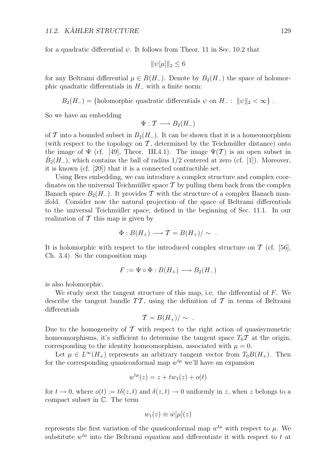for a quadratic differential  $\psi$ . It follows from Theor. 11 in Sec. 10.2 that

$$
\|\psi[\mu]\|_2 \leq 6
$$

for any Beltrami differential  $\mu \in B(H_{-})$ . Denote by  $B_2(H_{-})$  the space of holomorphic quadratic differentials in *H<sup>−</sup>* with a finite norm:

 $B_2(H_-) = \{h \text{olomorphic quadratic differentials } \psi \text{ on } H_- : ||\psi||_2 < \infty \}$ .

So we have an embedding

$$
\Psi: \mathcal{T} \longrightarrow B_2(H_-)
$$

of *T* into a bounded subset in  $B_2(H_-)$ . It can be shown that it is a homeomorphism (with respect to the topology on  $\mathcal T$ , determined by the Teichmüller distance) onto the image of  $\Psi$  (cf. [49], Theor. III.4.1). The image  $\Psi(\mathcal{T})$  is an open subset in  $B_2(H_-,)$ , which contains the ball of radius 1/2 centered at zero (cf. [1]). Moreover, it is known (cf. [20]) that it is a connected contractible set.

Using Bers embedding, we can introduce a complex structure and complex coordinates on the universal Teichmüller space  $\mathcal T$  by pulling them back from the complex Banach space  $B_2(H_-)$ . It provides  $\mathcal T$  with the structure of a complex Banach manifold. Consider now the natural projection of the space of Beltrami differentials to the universal Teichm¨uller space, defined in the beginning of Sec. 11.1. In our realization of *T* this map is given by

$$
\Phi: B(H_+) \longrightarrow T = B(H_+)/\sim .
$$

It is holomorphic with respect to the introduced complex structure on  $\mathcal T$  (cf. [56], Ch. 3.4). So the composition map

$$
F := \Psi \circ \Phi : B(H_+) \longrightarrow B_2(H_-)
$$

is also holomorphic.

We study next the tangent structure of this map, i.e. the differential of *F*. We describe the tangent bundle  $TT$ , using the definition of  $T$  in terms of Beltrami differentials

$$
\mathcal{T}=B(H_+)/\sim .
$$

Due to the homogeneity of *T* with respect to the right action of quasisymmetric homeomorphisms, it's sufficient to determine the tangent space  $T_0\mathcal{T}$  at the origin, corresponding to the identity homeomorphism, associated with  $\mu = 0$ .

Let  $\mu \in L^{\infty}(H_{+})$  represents an arbitrary tangent vector from  $T_0B(H_{+})$ . Then for the corresponding quasiconformal map  $w^{t\mu}$  we'll have an expansion

$$
w^{t\mu}(z) = z + tw_1(z) + o(t)
$$

for  $t \to 0$ , where  $o(t) := t\delta(z, t)$  and  $\delta(z, t) \to 0$  uniformly in *z*, when *z* belongs to a compact subset in C. The term

$$
w_1(z) \equiv \dot{w}[\mu](z)
$$

represents the first variation of the quasiconformal map  $w^{t\mu}$  with respect to  $\mu$ . We substitute  $w^{t\mu}$  into the Beltrami equation and differentiate it with respect to  $t$  at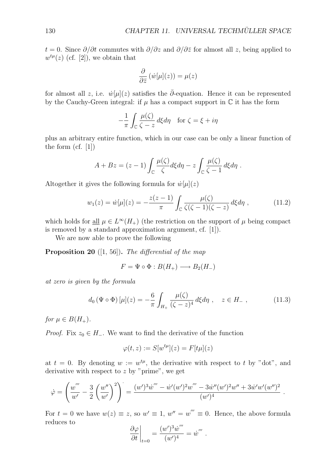$t = 0$ . Since  $\partial/\partial t$  commutes with  $\partial/\partial z$  and  $\partial/\partial \overline{z}$  for almost all *z*, being applied to  $w^{t\mu}(z)$  (cf. [2]), we obtain that

$$
\frac{\partial}{\partial \bar{z}}\left(\dot{w}[\mu](z)\right) = \mu(z)
$$

for almost all *z*, i.e.  $\dot{w}[\mu](z)$  satisfies the  $\bar{\partial}$ -equation. Hence it can be represented by the Cauchy-Green integral: if  $\mu$  has a compact support in  $\mathbb C$  it has the form

$$
-\frac{1}{\pi} \int_{\mathbb{C}} \frac{\mu(\zeta)}{\zeta - z} d\xi d\eta \quad \text{for } \zeta = \xi + i\eta
$$

plus an arbitrary entire function, which in our case can be only a linear function of the form (cf. [1])

$$
A + Bz = (z - 1) \int_{\mathbb{C}} \frac{\mu(\zeta)}{\zeta} d\xi d\eta - z \int_{\mathbb{C}} \frac{\mu(\zeta)}{\zeta - 1} d\xi d\eta.
$$

Altogether it gives the following formula for  $\dot{w}[\mu](z)$ 

$$
w_1(z) = \dot{w}[\mu](z) = -\frac{z(z-1)}{\pi} \int_{\mathbb{C}} \frac{\mu(\zeta)}{\zeta(\zeta-1)(\zeta-z)} d\xi d\eta , \qquad (11.2)
$$

which holds for <u>all</u>  $\mu \in L^{\infty}(H_{+})$  (the restriction on the support of  $\mu$  being compact is removed by a standard approximation argument, cf. [1]).

We are now able to prove the following

**Proposition 20** ([1, 56])**.** *The differential of the map*

$$
F = \Psi \circ \Phi : B(H_+) \longrightarrow B_2(H_-)
$$

*at zero is given by the formula*

$$
d_0 \left( \Psi \circ \Phi \right) [\mu](z) = -\frac{6}{\pi} \int_{H_+} \frac{\mu(\zeta)}{(\zeta - z)^4} d\xi d\eta \ , \quad z \in H_- \ , \tag{11.3}
$$

*for*  $\mu \in B(H_+).$ 

*Proof.* Fix  $z_0 \in H_-\$ . We want to find the derivative of the function

$$
\varphi(t,z) := S[w^{t\mu}](z) = F[t\mu](z)
$$

at  $t = 0$ . By denoting  $w := w^{t\mu}$ , the derivative with respect to t by "dot", and derivative with respect to *z* by "prime", we get

$$
\dot{\varphi} = \left(\frac{w'''}{w'} - \frac{3}{2}\left(\frac{w''}{w'}\right)^2\right) = \frac{(w')^3\dot{w}''' - \dot{w}'(w')^2w''' - 3\dot{w}''(w')^2w'' + 3\dot{w}'w'(w'')^2}{(w')^4}.
$$

For  $t = 0$  we have  $w(z) \equiv z$ , so  $w' \equiv 1$ ,  $w'' = w''' \equiv 0$ . Hence, the above formula reduces to

$$
\left. \frac{\partial \varphi}{\partial t} \right|_{t=0} = \frac{(w')^3 \dot{w}'''}{(w')^4} = \dot{w}'''.
$$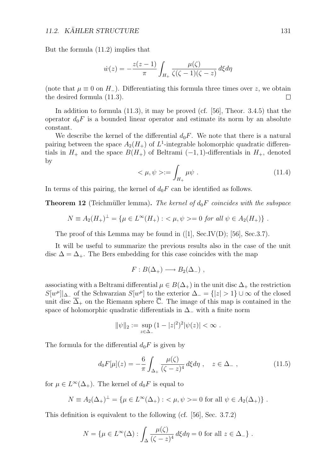But the formula (11.2) implies that

$$
\dot{w}(z) = -\frac{z(z-1)}{\pi} \int_{H_+} \frac{\mu(\zeta)}{\zeta(\zeta-1)(\zeta-z)} d\xi d\eta
$$

(note that  $\mu \equiv 0$  on  $H$ <sub>−</sub>). Differentiating this formula three times over *z*, we obtain the desired formula (11.3).  $\Box$ 

In addition to formula  $(11.3)$ , it may be proved  $(cf. [56]$ , Theor. 3.4.5) that the operator  $d_0F$  is a bounded linear operator and estimate its norm by an absolute constant.

We describe the kernel of the differential  $d_0F$ . We note that there is a natural pairing between the space  $A_2(H_+)$  of  $L^1$ -integrable holomorphic quadratic differentials in  $H_+$  and the space  $B(H_+)$  of Beltrami (-1,1)-differentials in  $H_+$ , denoted by

$$
\langle \mu, \psi \rangle := \int_{H_+} \mu \psi \ . \tag{11.4}
$$

In terms of this pairing, the kernel of  $d_0F$  can be identified as follows.

**Theorem 12** (Teichm¨uller lemma)**.** *The kernel of d*0*F coincides with the subspace*

$$
N \equiv A_2(H_+)^\perp = \{ \mu \in L^\infty(H_+) : \langle \mu, \psi \rangle = 0 \text{ for all } \psi \in A_2(H_+) \} .
$$

The proof of this Lemma may be found in ([1], Sec.IV(D); [56], Sec.3.7).

It will be useful to summarize the previous results also in the case of the unit disc  $\Delta = \Delta_+$ . The Bers embedding for this case coincides with the map

$$
F: B(\Delta_+) \longrightarrow B_2(\Delta_-) ,
$$

associating with a Beltrami differential  $\mu \in B(\Delta_+)$  in the unit disc  $\Delta_+$  the restriction *S*[*w<sup>µ</sup>*] $\Delta$ <sup>*-*</sup> of the Schwarzian *S*[*w*<sup>µ</sup>] to the exterior  $\Delta$ <sup>*-*</sup> = {|*z*| > 1} ∪ ∞ of the closed unit disc  $\overline{\Delta}_+$  on the Riemann sphere  $\overline{\mathbb{C}}$ . The image of this map is contained in the space of holomorphic quadratic differentials in ∆*<sup>−</sup>* with a finite norm

$$
\|\psi\|_2 := \sup_{z \in \Delta_-} (1 - |z|^2)^2 |\psi(z)| < \infty \; .
$$

The formula for the differential  $d_0F$  is given by

$$
d_0 F[\mu](z) = -\frac{6}{\pi} \int_{\Delta_+} \frac{\mu(\zeta)}{(\zeta - z)^4} d\xi d\eta \ , \quad z \in \Delta_- \ , \tag{11.5}
$$

for  $\mu \in L^{\infty}(\Delta_+)$ . The kernel of  $d_0F$  is equal to

$$
N \equiv A_2(\Delta_+)^\perp = \{ \mu \in L^\infty(\Delta_+) : \langle \mu, \psi \rangle = 0 \text{ for all } \psi \in A_2(\Delta_+) \} .
$$

This definition is equivalent to the following (cf. [56], Sec. 3.7.2)

$$
N = \{ \mu \in L^{\infty}(\Delta) : \int_{\Delta} \frac{\mu(\zeta)}{(\zeta - z)^4} d\xi d\eta = 0 \text{ for all } z \in \Delta_- \} .
$$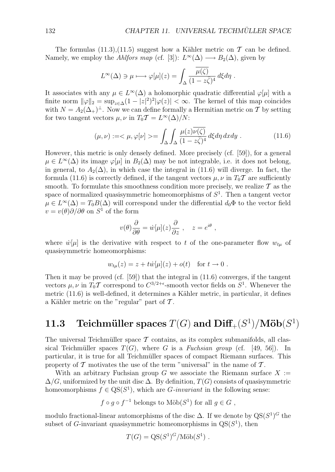The formulas  $(11.3),(11.5)$  suggest how a Kähler metric on  $\mathcal T$  can be defined. Namely, we employ the *Ahlfors map* (cf. [3]):  $L^{\infty}(\Delta) \longrightarrow B_2(\Delta)$ , given by

$$
L^{\infty}(\Delta) \ni \mu \longmapsto \varphi[\mu](z) = \int_{\Delta} \frac{\overline{\mu(\zeta)}}{(1 - z\overline{\zeta})^4} d\xi d\eta.
$$

It associates with any  $\mu \in L^{\infty}(\Delta)$  a holomorphic quadratic differential  $\varphi[\mu]$  with a finite norm  $\|\varphi\|_2 = \sup_{z \in \Delta} (1 - |z|^2)^2 |\varphi(z)| < \infty$ . The kernel of this map coincides with  $N = A_2(\Delta_+)^\perp$ . Now we can define formally a Hermitian metric on  $\mathcal T$  by setting for two tangent vectors  $\mu$ ,  $\nu$  in  $T_0 \mathcal{T} = L^{\infty}(\Delta)/N$ :

$$
(\mu, \nu) := \langle \mu, \varphi[\nu] \rangle = \int_{\Delta} \int_{\Delta} \frac{\mu(z)\overline{\nu(\zeta)}}{(1 - z\overline{\zeta})^4} d\xi d\eta \, dx dy \,. \tag{11.6}
$$

However, this metric is only densely defined. More precisely (cf. [59]), for a general  $\mu \in L^{\infty}(\Delta)$  its image  $\varphi[\mu]$  in  $B_2(\Delta)$  may be not integrable, i.e. it does not belong, in general, to  $A_2(\Delta)$ , in which case the integral in (11.6) will diverge. In fact, the formula (11.6) is correctly defined, if the tangent vectors  $\mu, \nu$  in  $T_0 \mathcal{T}$  are sufficiently smooth. To formulate this smoothness condition more precisely, we realize  $\mathcal T$  as the space of normalized quasisymmetric homeomorphisms of *S*<sup>1</sup>. Then a tangent vector  $\mu \in L^{\infty}(\Delta) = T_0 B(\Delta)$  will correspond under the differential  $d_0\Phi$  to the vector field *v* = *v*( $\theta$ ) $\partial/\partial \theta$  on  $S^1$  of the form

$$
v(\theta)\frac{\partial}{\partial \theta} = \dot{w}[\mu](z)\frac{\partial}{\partial z}, \quad z = e^{i\theta},
$$

where  $\dot{w}[\mu]$  is the derivative with respect to *t* of the one-parameter flow  $w_{t\mu}$  of quasisymmetric homeomorphisms:

$$
w_{t\mu}(z) = z + t\dot{w}[\mu](z) + o(t) \quad \text{for } t \to 0.
$$

Then it may be proved (cf.  $[59]$ ) that the integral in  $(11.6)$  converges, if the tangent vectors  $\mu, \nu$  in  $T_0 \mathcal{T}$  correspond to  $C^{3/2+\epsilon}$ -smooth vector fields on  $S^1$ . Whenever the metric  $(11.6)$  is well-defined, it determines a Kähler metric, in particular, it defines a Kähler metric on the "regular" part of  $\mathcal T$ .

### **11.3** Teichmüller spaces  $T(G)$  and  $\text{Diff}_{+}(S^1)/\text{M\"ob}(S^1)$

The universal Teichmüller space  $\mathcal T$  contains, as its complex submanifolds, all classical Teichmüller spaces  $T(G)$ , where *G* is a *Fuchsian group* (cf. [49, 56]). In particular, it is true for all Teichmüller spaces of compact Riemann surfaces. This property of  $\mathcal T$  motivates the use of the term "universal" in the name of  $\mathcal T$ .

With an arbitrary Fuchsian group  $G$  we associate the Riemann surface  $X :=$  $\Delta/G$ , uniformized by the unit disc  $\Delta$ . By definition,  $T(G)$  consists of quasisymmetric homeomorphisms  $f \in \text{QS}(S^1)$ , which are *G-invariant* in the following sense:

$$
f \circ g \circ f^{-1}
$$
 belongs to  $\text{M\"ob}(S^1)$  for all  $g \in G$ ,

modulo fractional-linear automorphisms of the disc  $\Delta$ . If we denote by  $\text{QS}(S^1)^G$  the subset of *G*-invariant quasisymmetric homeomorphisms in  $QS(S^1)$ , then

$$
T(G) = \mathrm{QS}(S^1)^G / \mathrm{M\ddot{o}b}(S^1) .
$$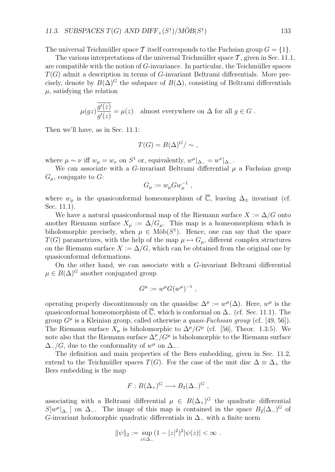The universal Teichmüller space T itself corresponds to the Fuchsian group  $G = \{1\}$ .

The various interpretations of the universal Teichmüller space  $\mathcal{T}$ , given in Sec. 11.1, are compatible with the notion of *G*-invariance. In particular, the Teichmüller spaces *T*(*G*) admit a description in terms of *G*-invariant Beltrami differentials. More precisely, denote by  $B(\Delta)^G$  the subspace of  $B(\Delta)$ , consisting of Beltrami differentials  $\mu$ , satisfying the relation

$$
\mu(gz)\overline{\frac{g'(z)}{g'(z)}} = \mu(z) \quad \text{almost everywhere on } \Delta \text{ for all } g \in G.
$$

Then we'll have, as in Sec. 11.1:

$$
T(G) = B(\Delta)^G / \sim ,
$$

where  $\mu \sim \nu$  iff  $w_{\mu} = w_{\nu}$  on  $S^1$  or, equivalently,  $w^{\mu}|_{\Delta_{-}} = w^{\nu}|_{\Delta_{-}}$ .

We can associate with a *G*-invariant Beltrami differential  $\mu$  a Fuchsian group *Gµ*, conjugate to *G*:

$$
G_\mu := w_\mu G w_\mu^{-1} ,
$$

where  $w_\mu$  is the quasiconformal homeomorphism of  $\overline{\mathbb{C}}$ , leaving  $\Delta_{\pm}$  invariant (cf. Sec. 11.1).

We have a natural quasiconformal map of the Riemann surface  $X := \Delta/G$  onto another Riemann surface  $X_\mu := \Delta/G_\mu$ . This map is a homeomorphism which is biholomorphic precisely, when  $\mu \in M\ddot{\text{ob}}(S^1)$ . Hence, one can say that the space *T*(*G*) parametrizes, with the help of the map  $\mu \mapsto G_{\mu}$ , different complex structures on the Riemann surface  $X := \Delta/G$ , which can be obtained from the original one by quasiconformal deformations.

On the other hand, we can associate with a *G*-invariant Beltrami differential  $\mu \in B(\Delta)^G$  another conjugated group

$$
G^{\mu} := w^{\mu} G(w^{\mu})^{-1} ,
$$

operating properly discontinuously on the quasidisc  $\Delta^{\mu} := w^{\mu}(\Delta)$ . Here,  $w^{\mu}$  is the quasiconformal homeomorphism of C, which is conformal on ∆*<sup>−</sup>* (cf. Sec. 11.1). The group  $G^{\mu}$  is a Kleinian group, called otherwise a *quasi-Fuchsian group* (cf. [49, 56]). The Riemann surface  $X_\mu$  is biholomorphic to  $\Delta^\mu/G^\mu$  (cf. [56], Theor. 1.3.5). We note also that the Riemann surface  $\Delta_{-}^{\mu}/G^{\mu}$  is biholomorphic to the Riemann surface  $\Delta$ <sup>*−*</sup>/*G*, due to the conformality of  $w^{\mu}$  on  $\Delta$ <sup>−</sup>.

The definition and main properties of the Bers embedding, given in Sec. 11.2, extend to the Teichmüller spaces  $T(G)$ . For the case of the unit disc  $\Delta \equiv \Delta_+$  the Bers embedding is the map

$$
F: B(\Delta_+)^G \longrightarrow B_2(\Delta_-)^G ,
$$

associating with a Beltrami differential  $\mu \in B(\Delta_+)^G$  the quadratic differential  $S[w^{\mu}]_{\Delta-}$  on  $\Delta$ <sub>−</sub>. The image of this map is contained in the space  $B_2(\Delta_-)^G$  of *G*-invariant holomorphic quadratic differentials in ∆*<sup>−</sup>* with a finite norm

$$
\|\psi\|_2 := \sup_{z \in \Delta_-} (1 - |z|^2)^2 |\psi(z)| < \infty \; .
$$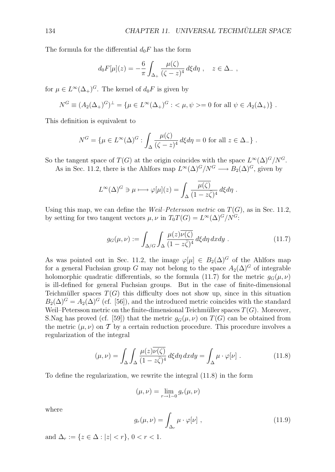The formula for the differential  $d_0F$  has the form

$$
d_0 F[\mu](z) = -\frac{6}{\pi} \int_{\Delta_+} \frac{\mu(\zeta)}{(\zeta - z)^4} d\xi d\eta \ , \quad z \in \Delta_- ,
$$

for  $\mu \in L^{\infty}(\Delta_+)^G$ . The kernel of  $d_0F$  is given by

$$
N^G \equiv (A_2(\Delta_+)^G)^{\perp} = {\mu \in L^{\infty}(\Delta_+)^G : \langle \mu, \psi \rangle = 0 \text{ for all } \psi \in A_2(\Delta_+)}.
$$

This definition is equivalent to

$$
N^G = \{ \mu \in L^{\infty}(\Delta)^G : \int_{\Delta} \frac{\mu(\zeta)}{(\zeta - z)^4} d\xi d\eta = 0 \text{ for all } z \in \Delta_-\} .
$$

So the tangent space of *T*(*G*) at the origin coincides with the space  $L^{\infty}(\Delta)^{G}/N^{G}$ .

As in Sec. 11.2, there is the Ahlfors map  $L^{\infty}(\Delta)^{G}/N^{G} \longrightarrow B_{2}(\Delta)^{G}$ , given by

$$
L^{\infty}(\Delta)^{G} \ni \mu \longmapsto \varphi[\mu](z) = \int_{\Delta} \frac{\overline{\mu(\zeta)}}{(1 - z\overline{\zeta})^{4}} d\xi d\eta.
$$

Using this map, we can define the *Weil–Petersson metric* on  $T(G)$ , as in Sec. 11.2, by setting for two tangent vectors  $\mu, \nu$  in  $T_0T(G) = L^{\infty}(\Delta)^G/N^G$ .

$$
g_G(\mu, \nu) := \int_{\Delta/G} \int_{\Delta} \frac{\mu(z)\overline{\nu(\zeta)}}{(1 - z\overline{\zeta})^4} d\xi d\eta \, dxdy \; . \tag{11.7}
$$

As was pointed out in Sec. 11.2, the image  $\varphi[\mu] \in B_2(\Delta)^G$  of the Ahlfors map for a general Fuchsian group *G* may not belong to the space  $A_2(\Delta)^G$  of integrable holomorphic quadratic differentials, so the formula (11.7) for the metric  $q_G(\mu, \nu)$ is ill-defined for general Fuchsian groups. But in the case of finite-dimensional Teichmüller spaces  $T(G)$  this difficulty does not show up, since in this situation  $B_2(\Delta)^G = A_2(\Delta)^G$  (cf. [56]), and the introduced metric coincides with the standard Weil–Petersson metric on the finite-dimensional Teichmüller spaces  $T(G)$ . Moreover, S. Nag has proved (cf. [59]) that the metric  $q_G(\mu, \nu)$  on  $T(G)$  can be obtained from the metric  $(\mu, \nu)$  on T by a certain reduction procedure. This procedure involves a regularization of the integral

$$
(\mu, \nu) = \int_{\Delta} \int_{\Delta} \frac{\mu(z)\overline{\nu(\zeta)}}{(1 - z\overline{\zeta})^4} d\xi d\eta \, dx dy = \int_{\Delta} \mu \cdot \varphi[\nu] . \tag{11.8}
$$

To define the regularization, we rewrite the integral (11.8) in the form

$$
(\mu, \nu) = \lim_{r \to 1-0} g_r(\mu, \nu)
$$

where

$$
g_r(\mu, \nu) = \int_{\Delta_r} \mu \cdot \varphi[\nu], \qquad (11.9)
$$

and  $\Delta_r := \{z \in \Delta : |z| < r\}, 0 < r < 1.$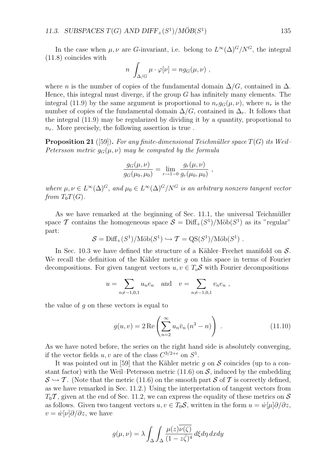In the case when  $\mu, \nu$  are *G*-invariant, i.e. belong to  $L^{\infty}(\Delta)^{G}/N^{G}$ , the integral (11.8) coincides with

$$
n \int_{\Delta/G} \mu \cdot \varphi[\nu] = n g_G(\mu, \nu) ,
$$

where *n* is the number of copies of the fundamental domain  $\Delta/G$ , contained in  $\Delta$ . Hence, this integral must diverge, if the group *G* has infinitely many elements. The integral (11.9) by the same argument is proportional to  $n_r g_G(\mu, \nu)$ , where  $n_r$  is the number of copies of the fundamental domain  $\Delta/G$ , contained in  $\Delta_r$ . It follows that the integral (11.9) may be regularized by dividing it by a quantity, proportional to *nr*. More precisely, the following assertion is true .

**Proposition 21** ([59]). For any finite-dimensional Teichmüller space  $T(G)$  its Weil– *Petersson metric*  $g_G(\mu, \nu)$  *may be computed by the formula* 

$$
\frac{g_G(\mu, \nu)}{g_G(\mu_0, \mu_0)} = \lim_{r \to 1-0} \frac{g_r(\mu, \nu)}{g_r(\mu_0, \mu_0)},
$$

*where*  $\mu, \nu \in L^{\infty}(\Delta)^{G}$ , and  $\mu_0 \in L^{\infty}(\Delta)^{G}/N^{G}$  *is an arbitrary nonzero tangent vector from*  $T_0T(G)$ *.* 

As we have remarked at the beginning of Sec.  $11.1$ , the universal Teichmüller space *T* contains the homogeneous space  $S = \text{Diff}_{+}(S^1)/\text{M\"ob}(S^1)$  as its "regular" part:

$$
S = \text{Diff}_{+}(S^1)/\text{M\"ob}(S^1) \hookrightarrow \mathcal{T} = \text{QS}(S^1)/\text{M\"ob}(S^1) .
$$

In Sec. 10.3 we have defined the structure of a Kähler–Frechet manifold on  $S$ . We recall the definition of the Kähler metric  $g$  on this space in terms of Fourier decompositions. For given tangent vectors  $u, v \in T_oS$  with Fourier decompositions

$$
u = \sum_{n \neq -1,0,1} u_n e_n
$$
 and  $v = \sum_{n \neq -1,0,1} v_n e_n$ ,

the value of *g* on these vectors is equal to

$$
g(u,v) = 2 \operatorname{Re} \left( \sum_{n=2}^{\infty} u_n \bar{v}_n (n^3 - n) \right) . \tag{11.10}
$$

As we have noted before, the series on the right hand side is absolutely converging, if the vector fields *u, v* are of the class  $C^{3/2+\epsilon}$  on  $S^1$ .

It was pointed out in [59] that the Kähler metric  $q$  on  $S$  coincides (up to a constant factor) with the Weil–Petersson metric  $(11.6)$  on  $S$ , induced by the embedding  $\mathcal{S} \hookrightarrow \mathcal{T}$ . (Note that the metric (11.6) on the smooth part  $\mathcal{S}$  of  $\mathcal{T}$  is correctly defined, as we have remarked in Sec. 11.2.) Using the interpretation of tangent vectors from  $T_0 \mathcal{T}$ , given at the end of Sec. 11.2, we can express the equality of these metrics on *S* as follows. Given two tangent vectors  $u, v \in T_0S$ , written in the form  $u = \dot{w}[\mu]\partial/\partial z$ ,  $v = \dot{w}[\nu]\partial/\partial z$ , we have

$$
g(\mu, \nu) = \lambda \int_{\Delta} \int_{\Delta} \frac{\mu(z)\overline{\nu(\zeta)}}{(1 - z\overline{\zeta})^4} d\xi d\eta \, dxdy
$$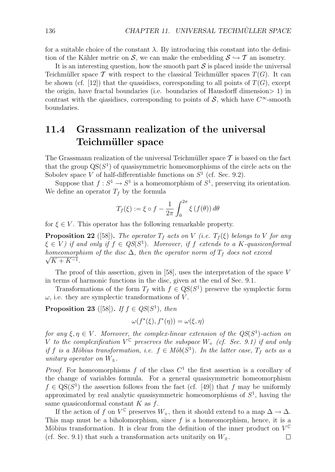for a suitable choice of the constant  $\lambda$ . By introducing this constant into the definition of the Kähler metric on *S*, we can make the embedding  $S \hookrightarrow T$  an isometry.

It is an interesting question, how the smooth part *S* is placed inside the universal Teichmüller space  $\mathcal T$  with respect to the classical Teichmüller spaces  $T(G)$ . It can be shown (cf. [12]) that the quasidiscs, corresponding to all points of  $T(G)$ , except the origin, have fractal boundaries (i.e. boundaries of Hausdorff dimension*>* 1) in contrast with the quasidiscs, corresponding to points of  $S$ , which have  $C^{\infty}$ -smooth boundaries.

## **11.4 Grassmann realization of the universal Teichm¨uller space**

The Grassmann realization of the universal Teichmüller space  $\mathcal T$  is based on the fact that the group  $QS(S^1)$  of quasisymmetric homeomorphisms of the circle acts on the Sobolev space *V* of half-differentiable functions on  $S^1$  (cf. Sec. 9.2).

Suppose that  $f: S^1 \to S^1$  is a homeomorphism of  $S^1$ , preserving its orientation. We define an operator  $T_f$  by the formula

$$
T_f(\xi) := \xi \circ f - \frac{1}{2\pi} \int_0^{2\pi} \xi \left(f(\theta)\right) d\theta
$$

for  $\xi \in V$ . This operator has the following remarkable property.

**Proposition 22** ([58]). The operator  $T_f$  acts on V (i.e.  $T_f(\xi)$  belongs to V for any  $\xi \in V$  *if and only if*  $f \in QS(S^1)$ *. Moreover, if*  $f$  *extends to a*  $K$ *-quasiconformal homeomorphism of the disc*  $\Delta$ *, then the operator norm of*  $T_f$  *does not exceed*  $\sqrt{K + K^{-1}}$ .

The proof of this assertion, given in [58], uses the interpretation of the space *V* in terms of harmonic functions in the disc, given at the end of Sec. 9.1.

Transformations of the form  $T_f$  with  $f \in \text{QS}(S^1)$  preserve the symplectic form  $\omega$ , i.e. they are symplectic transformations of *V*.

**Proposition 23** ([58]). *If*  $f \in QS(S^1)$ , then

$$
\omega(f^*(\xi), f^*(\eta)) = \omega(\xi, \eta)
$$

*for any*  $\xi, \eta \in V$ *. Moreover, the complex-linear extension of the QS(S<sup>1</sup>)<i>-action on V* to the complexification  $V^{\mathbb{C}}$  preserves the subspace  $W_{+}$  (cf. Sec. 9.1) if and only *if f is a Möbius transformation, i.e.*  $f \in M \ddot{o} b(S^1)$ *. In the latter case,*  $T_f$  *acts as a unitary operator on*  $W_+$ *.* 

*Proof.* For homeomorphisms *f* of the class *C*<sup>1</sup> the first assertion is a corollary of the change of variables formula. For a general quasisymmetric homeomorphism  $f \in \text{QS}(S^1)$  the assertion follows from the fact (cf. [49]) that *f* may be uniformly approximated by real analytic quasisymmetric homeomorphisms of *S*<sup>1</sup>, having the same quasiconformal constant *K* as *f*.

If the action of *f* on  $V^{\mathbb{C}}$  preserves  $W_+$ , then it should extend to a map  $\Delta \to \Delta$ . This map must be a biholomorphism, since *f* is a homeomorphism, hence, it is a Möbius transformation. It is clear from the definition of the inner product on  $V^{\mathbb{C}}$ (cf. Sec. 9.1) that such a transformation acts unitarily on  $W_{\pm}$ .  $\Box$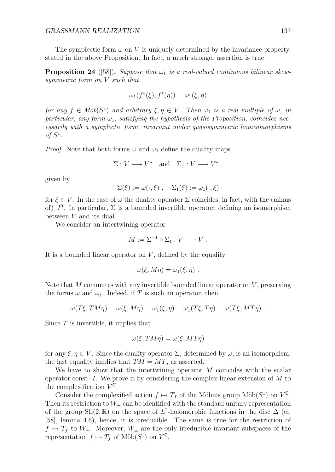The symplectic form  $\omega$  on V is uniquely determined by the invariance property, stated in the above Proposition. In fact, a much stronger assertion is true.

**Proposition 24** ([58]). *Suppose that*  $\omega_1$  *is a real-valued continuous bilinear skewsymmetric form on V such that*

$$
\omega_1(f^*(\xi), f^*(\eta)) = \omega_1(\xi, \eta)
$$

*for any*  $f \in M\ddot{o}b(S^1)$  *and arbitrary*  $\xi, \eta \in V$ . Then  $\omega_1$  *is a real multiple of*  $\omega$ *, in particular, any form*  $\omega_1$ *, satisfying the hypothesis of the Proposition, coincides necessarily with a symplectic form, invariant under quasisymmetric homeomorphisms*  $of S<sup>1</sup>$ .

*Proof.* Note that both forms  $\omega$  and  $\omega_1$  define the duality maps

$$
\Sigma: V \longrightarrow V^* \quad \text{and} \quad \Sigma_1: V \longrightarrow V^* \ ,
$$

given by

$$
\Sigma(\xi) := \omega(\cdot, \xi) , \quad \Sigma_1(\xi) := \omega_1(\cdot, \xi)
$$

for  $\xi \in V$ . In the case of  $\omega$  the duality operator  $\Sigma$  coincides, in fact, with the (minus of)  $J^0$ . In particular,  $\Sigma$  is a bounded invertible operator, defining an isomorphism between *V* and its dual.

We consider an intertwining operator

 $M := \Sigma^{-1} \circ \Sigma_1 : V \longrightarrow V$ .

It is a bounded linear operator on *V* , defined by the equality

$$
\omega(\xi, M\eta) = \omega_1(\xi, \eta) .
$$

Note that *M* commutes with any invertible bounded linear operator on *V* , preserving the forms  $\omega$  and  $\omega_1$ . Indeed, if T is such an operator, then

$$
\omega(T\xi, TM\eta) = \omega(\xi, M\eta) = \omega_1(\xi, \eta) = \omega_1(T\xi, T\eta) = \omega(T\xi, MT\eta) .
$$

Since *T* is invertible, it implies that

$$
\omega(\xi, TM\eta) = \omega(\xi, MT\eta)
$$

for any *ξ, η ∈ V* . Since the duality operator Σ, determined by *ω*, is an isomorphism, the last equality implies that  $TM = MT$ , as asserted.

We have to show that the intertwining operator *M* coincides with the scalar operator const  $\cdot$  *I*. We prove it by considering the complex-linear extension of  $M$  to the complexification  $V^{\mathbb{C}}$ .

Consider the complexified action  $f \mapsto T_f$  of the Möbius group Möb( $S^1$ ) on  $V^{\mathbb{C}}$ . Then its restriction to  $W_+$  can be identified with the standard unitary representation of the group  $SL(2,\mathbb{R})$  on the space of  $L^2$ -holomorphic functions in the disc  $\Delta$  (cf. [58], lemma 4.6), hence, it is irreducible. The same is true for the restriction of *f 7→ T<sup>f</sup>* to *W−*. Moreover, *W<sup>±</sup>* are the only irreducible invariant subspaces of the representation  $f \mapsto T_f$  of Möb( $S^1$ ) on  $V^{\mathbb{C}}$ .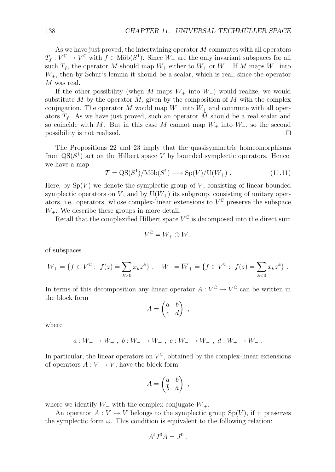As we have just proved, the intertwining operator *M* commutes with all operators  $T_f: V^{\mathbb{C}} \to V^{\mathbb{C}}$  with  $f \in M\ddot{\text{o}}b(S^1)$ . Since  $W_{\pm}$  are the only invariant subspaces for all such  $T_f$ , the operator  $M$  should map  $W_+$  either to  $W_+$  or  $W_-$ . If  $M$  maps  $W_+$  into  $W_{+}$ , then by Schur's lemma it should be a scalar, which is real, since the operator *M* was real.

If the other possibility (when *M* maps *W*<sup>+</sup> into *W−*) would realize, we would substitute  $M$  by the operator  $M$ , given by the composition of  $M$  with the complex conjugation. The operator  $\tilde{M}$  would map  $W_+$  into  $W_+$  and commute with all operators  $T_f$ . As we have just proved, such an operator M should be a real scalar and so coincide with *M*. But in this case *M* cannot map *W*<sup>+</sup> into *W−*, so the second possibility is not realized.  $\Box$ 

The Propositions 22 and 23 imply that the quasisymmetric homeomorphisms from  $\mathrm{QS}(S^1)$  act on the Hilbert space *V* by bounded symplectic operators. Hence, we have a map

$$
\mathcal{T} = \mathcal{Q}S(S^1)/\text{M\"ob}(S^1) \longrightarrow \text{Sp}(V)/\text{U}(W_+) . \tag{11.11}
$$

Here, by  $Sp(V)$  we denote the symplectic group of  $V$ , consisting of linear bounded symplectic operators on  $V$ , and by  $U(W<sub>+</sub>)$  its subgroup, consisting of unitary operators, i.e. operators, whose complex-linear extensions to  $V^{\mathbb{C}}$  preserve the subspace  $W_{+}$ . We describe these groups in more detail.

Recall that the complexified Hilbert space  $V^{\mathbb{C}}$  is decomposed into the direct sum

$$
V^{\mathbb{C}} = W_+ \oplus W_-
$$

of subspaces

$$
W_+ = \{ f \in V^{\mathbb{C}} : f(z) = \sum_{k>0} x_k z^k \}, \quad W_- = \overline{W}_+ = \{ f \in V^{\mathbb{C}} : f(z) = \sum_{k<0} x_k z^k \}.
$$

In terms of this decomposition any linear operator  $A: V^{\mathbb{C}} \to V^{\mathbb{C}}$  can be written in the block form

$$
A = \begin{pmatrix} a & b \\ c & d \end{pmatrix} ,
$$

where

$$
a: W_+ \to W_+
$$
,  $b: W_- \to W_+$ ,  $c: W_- \to W_-$ ,  $d: W_+ \to W_-$ .

In particular, the linear operators on  $V^{\mathbb{C}}$ , obtained by the complex-linear extensions of operators  $A: V \to V$ , have the block form

$$
A = \begin{pmatrix} a & b \\ \bar{b} & \bar{a} \end{pmatrix} ,
$$

where we identify  $W_-\$  with the complex conjugate  $\overline{W}_+$ .

An operator  $A: V \to V$  belongs to the symplectic group  $Sp(V)$ , if it preserves the symplectic form  $\omega$ . This condition is equivalent to the following relation:

$$
A^t J^0 A = J^0 ,
$$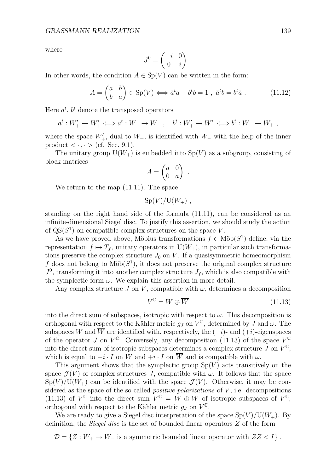where

$$
J^0 = \begin{pmatrix} -i & 0 \\ 0 & i \end{pmatrix}
$$

In other words, the condition  $A \in Sp(V)$  can be written in the form:

$$
A = \begin{pmatrix} a & b \\ \bar{b} & \bar{a} \end{pmatrix} \in \text{Sp}(V) \Longleftrightarrow \bar{a}^t a - b^t \bar{b} = 1 \ , \ \bar{a}^t b = b^t \bar{a} \ . \tag{11.12}
$$

*.*

Here  $a^t$ ,  $b^t$  denote the transposed operators

$$
a^t: W'_+ \to W'_+ \iff a^t: W_- \to W_-\ ,\quad b^t: W'_+ \to W'_- \iff b^t: W_- \to W_+\ ,
$$

where the space *W′* <sup>+</sup>, dual to *W*+, is identified with *W<sup>−</sup>* with the help of the inner product  $\langle \cdot, \cdot \rangle$  (cf. Sec. 9.1).

The unitary group  $U(W_+)$  is embedded into  $Sp(V)$  as a subgroup, consisting of block matrices

$$
A = \begin{pmatrix} a & 0 \\ 0 & \bar{a} \end{pmatrix} .
$$

We return to the map (11.11). The space

$$
Sp(V)/U(W_+)
$$
,

standing on the right hand side of the formula (11.11), can be considered as an infinite-dimensional Siegel disc. To justify this assertion, we should study the action of  $QS(S^1)$  on compatible complex structures on the space *V*.

As we have proved above, Möbius transformations  $f \in M\ddot{o}b(S^1)$  define, via the representation  $f \mapsto T_f$ , unitary operators in  $U(W_+)$ , in particular such transformations preserve the complex structure  $J_0$  on  $V$ . If a quasisymmetric homeomorphism f does not belong to  $M\ddot{\text{o}}b(S^1)$ , it does not preserve the original complex structure  $J^0$ , transforming it into another complex structure  $J_f$ , which is also compatible with the symplectic form  $\omega$ . We explain this assertion in more detail.

Any complex structure  $J$  on  $V$ , compatible with  $\omega$ , determines a decomposition

$$
V^{\mathbb{C}} = W \oplus \overline{W} \tag{11.13}
$$

into the direct sum of subspaces, isotropic with respect to  $\omega$ . This decomposition is orthogonal with respect to the Kähler metric  $g_J$  on  $V^{\mathbb{C}}$ , determined by *J* and  $\omega$ . The subspaces *W* and  $\overline{W}$  are identified with, respectively, the  $(-i)$ - and  $(+i)$ -eigenspaces of the operator *J* on  $V^{\mathbb{C}}$ . Conversely, any decomposition (11.13) of the space  $V^{\mathbb{C}}$ into the direct sum of isotropic subspaces determines a complex structure *J* on  $V^{\mathbb{C}}$ , which is equal to  $-i \cdot I$  on W and  $+i \cdot I$  on  $\overline{W}$  and is compatible with  $\omega$ .

This argument shows that the symplectic group  $Sp(V)$  acts transitively on the space  $\mathcal{J}(V)$  of complex structures *J*, compatible with  $\omega$ . It follows that the space  $Sp(V)/U(W_+)$  can be identified with the space  $\mathcal{J}(V)$ . Otherwise, it may be considered as the space of the so called *positive polarizations* of *V* , i.e. decompositions (11.13) of  $V^{\mathbb{C}}$  into the direct sum  $V^{\mathbb{C}} = W \oplus \overline{W}$  of isotropic subspaces of  $V^{\mathbb{C}}$ , orthogonal with respect to the Kähler metric  $q_J$  on  $V^{\mathbb{C}}$ .

We are ready to give a Siegel disc interpretation of the space  $Sp(V)/U(W_{+})$ . By definition, the *Siegel disc* is the set of bounded linear operators *Z* of the form

 $\mathcal{D} = \{Z : W_+ \to W_-\}$  is a symmetric bounded linear operator with  $\bar{Z}Z < I\}$ .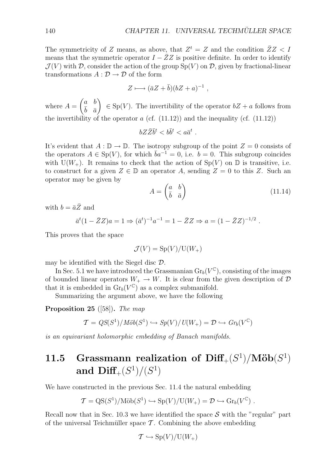The symmetricity of *Z* means, as above, that  $Z^t = Z$  and the condition  $\bar{Z}Z < I$ means that the symmetric operator  $I - \overline{Z}Z$  is positive definite. In order to identify  $\mathcal{J}(V)$  with  $\mathcal{D}$ , consider the action of the group Sp(*V*) on  $\mathcal{D}$ , given by fractional-linear transformations  $A : \mathcal{D} \to \mathcal{D}$  of the form

$$
Z \longmapsto (\bar{a}Z + \bar{b})(bZ + a)^{-1} ,
$$

where  $A = \begin{pmatrix} a & b \\ \frac{b}{b} & \frac{b}{a} \end{pmatrix}$  $\bar{b}$   $\bar{a}$  $\Big) \in \text{Sp}(V)$ . The invertibility of the operator  $bZ + a$  follows from the invertibility of the operator  $a$  (cf.  $(11.12)$ ) and the inequality (cf.  $(11.12)$ )

$$
bZ\bar{Z}\bar{b}^t < b\bar{b}^t < a\bar{a}^t .
$$

It's evident that  $A : \mathbb{D} \to \mathbb{D}$ . The isotropy subgroup of the point  $Z = 0$  consists of the operators  $A \in Sp(V)$ , for which  $\bar{b}a^{-1} = 0$ , i.e.  $b = 0$ . This subgroup coincides with  $U(W_+)$ . It remains to check that the action of  $Sp(V)$  on  $\mathbb D$  is transitive, i.e. to construct for a given  $Z \in \mathbb{D}$  an operator A, sending  $Z = 0$  to this Z. Such an operator may be given by

$$
A = \begin{pmatrix} a & b \\ \bar{b} & \bar{a} \end{pmatrix} \tag{11.14}
$$

with  $b = \bar{a}\bar{Z}$  and

$$
\bar{a}^t (1 - \bar{Z}Z)a = 1 \Rightarrow (\bar{a}^t)^{-1} a^{-1} = 1 - \bar{Z}Z \Rightarrow a = (1 - \bar{Z}Z)^{-1/2} .
$$

This proves that the space

$$
\mathcal{J}(V) = \mathrm{Sp}(V)/\mathrm{U}(W_+)
$$

may be identified with the Siegel disc *D*.

In Sec. 5.1 we have introduced the Grassmanian  $\text{Gr}_b(V^{\mathbb{C}})$ , consisting of the images of bounded linear operators  $W_+ \to W$ . It is clear from the given description of  $D$ that it is embedded in  $\mathrm{Gr}_b(V^{\mathbb{C}})$  as a complex submanifold.

Summarizing the argument above, we have the following

**Proposition 25** ([58])**.** *The map*

$$
\mathcal{T} = \frac{QS(S^1)}{M\ddot{o}b(S^1)} \hookrightarrow \frac{Sp(V)}{U(W_+)} = \mathcal{D} \hookrightarrow \frac{Gr_b(V^{\mathbb{C}})}{U(V)}
$$

*is an equivariant holomorphic embedding of Banach manifolds.*

## **11.5** Grassmann realization of  $\text{Diff}_{+}(S^1)/\text{M\"ob}(S^1)$ and  $\text{Diff}_{+}(S^{1})/(S^{1})$

We have constructed in the previous Sec. 11.4 the natural embedding

$$
\mathcal{T}={\rm QS}(S^1)/{\rm M\ddot{o}b}(S^1)\hookrightarrow {\rm Sp}(V)/{\rm U}(W_+) = \mathcal{D}\hookrightarrow {\rm Gr}_b(V^\mathbb{C})\ .
$$

Recall now that in Sec. 10.3 we have identified the space  $S$  with the "regular" part of the universal Teichmüller space  $\mathcal T$ . Combining the above embedding

$$
\mathcal{T} \hookrightarrow \mathrm{Sp}(V)/\mathrm{U}(W_+)
$$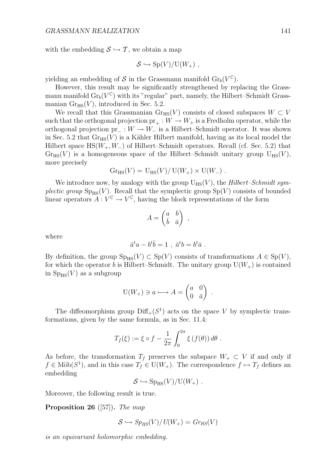with the embedding  $S \hookrightarrow T$ , we obtain a map

$$
S \hookrightarrow Sp(V)/U(W_+)
$$
,

yielding an embedding of S in the Grassmann manifold  $\text{Gr}_b(V^{\mathbb{C}})$ .

However, this result may be significantly strengthened by replacing the Grassmann manifold  $\text{Gr}_b(V^{\mathbb{C}})$  with its "regular" part, namely, the Hilbert–Schmidt Grassmanian  $Gr_{HS}(V)$ , introduced in Sec. 5.2.

We recall that this Grassmanian  $\text{Gr}_{\text{HS}}(V)$  consists of closed subspaces  $W \subset V$ such that the orthogonal projection  $pr_+ : W \to W_+$  is a Fredholm operator, while the orthogonal projection pr*<sup>−</sup>* : *W → W<sup>−</sup>* is a Hilbert–Schmidt operator. It was shown in Sec. 5.2 that  $G_{HSS}(V)$  is a Kähler Hilbert manifold, having as its local model the Hilbert space HS(*W*+*, W−*) of Hilbert–Schmidt operators. Recall (cf. Sec. 5.2) that  $G_{\text{HSS}}(V)$  is a homogeneous space of the Hilbert–Schmidt unitary group  $U_{\text{HS}}(V)$ , more precisely

$$
Gr_{HS}(V) = U_{HS}(V)/ U(W_+) \times U(W_-) .
$$

We introduce now, by analogy with the group  $U_{HS}(V)$ , the *Hilbert–Schmidt symplectic group*  $Sp_{HS}(V)$ . Recall that the symplectic group  $Sp(V)$  consists of bounded linear operators  $A: V^{\mathbb{C}} \to V^{\mathbb{C}}$ , having the block representations of the form

$$
A = \begin{pmatrix} a & b \\ \bar{b} & \bar{a} \end{pmatrix} ,
$$

where

$$
\bar{a}^t a - b^t \bar{b} = 1 \ , \ \bar{a}^t b = b^t \bar{a} \ .
$$

By definition, the group  $Sp_{HS}(V) \subset Sp(V)$  consists of transformations  $A \in Sp(V)$ , for which the operator *b* is Hilbert–Schmidt. The unitary group  $U(W_+)$  is contained in  $Sp_{HS}(V)$  as a subgroup

$$
U(W_+) \ni a \longmapsto A = \begin{pmatrix} a & 0 \\ 0 & \bar{a} \end{pmatrix} .
$$

The diffeomorphism group  $\text{Diff}_+(S^1)$  acts on the space *V* by symplectic transformations, given by the same formula, as in Sec. 11.4:

$$
T_f(\xi) := \xi \circ f - \frac{1}{2\pi} \int_0^{2\pi} \xi \left(f(\theta)\right) d\theta.
$$

As before, the transformation  $T_f$  preserves the subspace  $W_+ \subset V$  if and only if  $f \in M\ddot{\text{o}}b(S^1)$ , and in this case  $T_f \in U(W_+)$ . The correspondence  $f \mapsto T_f$  defines an embedding

$$
S \hookrightarrow \mathrm{Sp}_{\mathrm{HS}}(V)/\mathrm{U}(W_+).
$$

Moreover, the following result is true.

**Proposition 26** ([57])**.** *The map*

$$
S \hookrightarrow Sp_{HS}(V)/U(W_+) = Gr_{HS}(V)
$$

*is an equivariant holomorphic embedding.*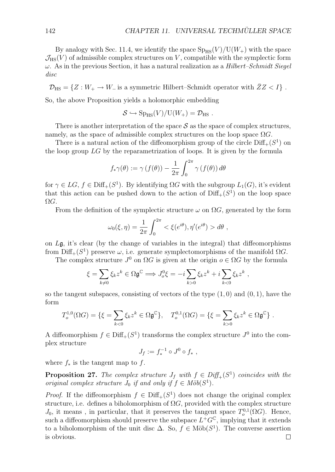By analogy with Sec. 11.4, we identify the space  $Sp_{HS}(V)/U(W_{+})$  with the space  $\mathcal{J}_{\text{HS}}(V)$  of admissible complex structures on *V*, compatible with the symplectic form *ω*. As in the previous Section, it has a natural realization as a *Hilbert–Schmidt Siegel disc*

 $\mathcal{D}_{\text{HS}} = \{Z : W_+ \to W_-\$  is a symmetric Hilbert–Schmidt operator with  $\bar{Z}Z < I\}$ .

So, the above Proposition yields a holomorphic embedding

$$
S \hookrightarrow Sp_{HS}(V)/U(W_+) = \mathcal{D}_{HS} .
$$

There is another interpretation of the space  $S$  as the space of complex structures, namely, as the space of admissible complex structures on the loop space  $\Omega G$ .

There is a natural action of the diffeomorphism group of the circle  $\text{Diff}_+(S^1)$  on the loop group *LG* by the reparametrization of loops. It is given by the formula

$$
f_*\gamma(\theta) := \gamma(f(\theta)) - \frac{1}{2\pi} \int_0^{2\pi} \gamma(f(\theta)) d\theta
$$

for *γ*  $∈$  *LG*, *f*  $∈$  Diff<sub>+</sub>(*S*<sup>1</sup>). By identifying  $ΩG$  with the subgroup  $L_1(G)$ , it's evident that this action can be pushed down to the action of  $\text{Diff}_+(S^1)$  on the loop space  $\Omega G$ .

From the definition of the symplectic structure  $\omega$  on  $\Omega G$ , generated by the form

$$
\omega_0(\xi, \eta) = \frac{1}{2\pi} \int_0^{2\pi} \langle \xi(e^{i\theta}), \eta'(e^{i\theta}) \rangle d\theta,
$$

on *L*g, it's clear (by the change of variables in the integral) that diffeomorphisms from  $Diff_{+}(S^{1})$  preserve *ω*, i.e. generate symplectomorphisms of the manifold  $\Omega G$ .

The complex structure  $J^0$  on  $\Omega G$  is given at the origin  $o \in \Omega G$  by the formula

$$
\xi = \sum_{k \neq 0} \xi_k z^k \in \Omega \mathfrak{g}^{\mathbb{C}} \Longrightarrow J_o^0 \xi = -i \sum_{k > 0} \xi_k z^k + i \sum_{k < 0} \xi_k z^k ,
$$

so the tangent subspaces, consisting of vectors of the type (1*,* 0) and (0*,* 1), have the form

$$
T_o^{1,0}(\Omega G) = \{ \xi = \sum_{k < 0} \xi_k z^k \in \Omega \mathfrak{g}^{\mathbb{C}} \}, \quad T_o^{0,1}(\Omega G) = \{ \xi = \sum_{k > 0} \xi_k z^k \in \Omega \mathfrak{g}^{\mathbb{C}} \} .
$$

A diffeomorphism  $f \in \text{Diff}_+(S^1)$  transforms the complex structure  $J^0$  into the complex structure

$$
J_f := f_*^{-1} \circ J^0 \circ f_* ,
$$

where  $f_*$  is the tangent map to  $f$ .

**Proposition 27.** The complex structure  $J_f$  with  $f \in Diff_{+}(S^1)$  coincides with the *original complex structure*  $J_0$  *if and only if*  $f \in M \ddot{o}b(S^1)$ *.* 

*Proof.* If the diffeomorphism  $f \in \text{Diff}_+(S^1)$  does not change the original complex structure, i.e. defines a biholomorphism of  $\Omega G$ , provided with the complex structure *J*<sub>0</sub>, it means, in particular, that it preserves the tangent space  $T_o^{0,1}(\Omega G)$ . Hence, such a diffeomorphism should preserve the subspace  $L^+G^{\mathbb{C}}$ , implying that it extends to a biholomorphism of the unit disc  $\Delta$ . So,  $f \in M\ddot{o}b(S^1)$ . The converse assertion is obvious. $\Box$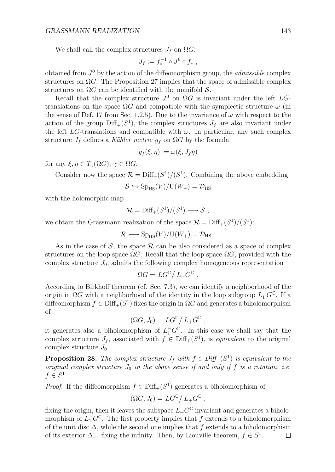We shall call the complex structures  $J_f$  on  $\Omega G$ :

$$
J_f := f_*^{-1} \circ J^0 \circ f_* ,
$$

obtained from *J*<sup>0</sup> by the action of the diffeomorphism group, the *admissible* complex structures on  $\Omega G$ . The Proposition 27 implies that the space of admissible complex structures on Ω*G* can be identified with the manifold *S*.

Recall that the complex structure  $J^0$  on  $\Omega G$  is invariant under the left  $LG$ translations on the space  $\Omega G$  and compatible with the symplectic structure  $\omega$  (in the sense of Def. 17 from Sec. 1.2.5). Due to the invariance of  $\omega$  with respect to the action of the group  $\text{Diff}_+(S^1)$ , the complex structures  $J_f$  are also invariant under the left *LG*-translations and compatible with  $\omega$ . In particular, any such complex structure  $J_f$  defines a *K*ähler metric  $g_f$  on  $\Omega G$  by the formula

$$
g_f(\xi,\eta):=\omega(\xi,J_f\eta)
$$

for any  $\xi, \eta \in T_\gamma(\Omega G), \gamma \in \Omega G$ .

Consider now the space  $\mathcal{R} = \text{Diff}_+(S^1)/(S^1)$ . Combining the above embedding

$$
S \hookrightarrow Sp_{HS}(V)/U(W_+) = \mathcal{D}_{HS}
$$

with the holomorphic map

$$
\mathcal{R} = \mathrm{Diff}_+(S^1)/(S^1) \longrightarrow \mathcal{S} ,
$$

we obtain the Grassmann realization of the space  $\mathcal{R} = \text{Diff}_+(S^1)/(S^1)$ :

$$
\mathcal{R} \longrightarrow \mathrm{Sp}_{\mathrm{HS}}(V)/\mathrm{U}(W_+) = \mathcal{D}_{\mathrm{HS}}.
$$

As in the case of  $S$ , the space  $R$  can be also considered as a space of complex structures on the loop space  $\Omega G$ . Recall that the loop space  $\Omega G$ , provided with the complex structure  $J_0$ , admits the following complex homogeneous representation

$$
\Omega G = LG^{\mathbb{C}} / L_{+} G^{\mathbb{C}}.
$$

According to Birkhoff theorem (cf. Sec. 7.3), we can identify a neighborhood of the origin in  $\Omega G$  with a neighborhood of the identity in the loop subgroup  $L_1^- G^{\mathbb{C}}$ . If a diffeomorphism  $f \in \text{Diff}_+(S^1)$  fixes the origin in  $\Omega G$  and generates a biholomorphism of

$$
(\Omega G, J_0) = LG^{\mathbb{C}} / L_+ G^{\mathbb{C}} ,
$$

it generates also a biholomorphism of  $L_1^- G^{\mathbb{C}}$ . In this case we shall say that the complex structure  $J_f$ , associated with  $f \in \text{Diff}_+(S^1)$ , is *equivalent* to the original complex structure *J*0.

**Proposition 28.** *The complex structure*  $J_f$  *with*  $f \in Diff_+(S^1)$  *is equivalent to the original complex structure*  $J_0$  *in the above sense if and only if*  $f$  *is a rotation, i.e.*  $f \in S^1$ .

*Proof.* If the diffeomorphism  $f \in \text{Diff}_+(S^1)$  generates a biholomorphism of

$$
(\Omega G, J_0) = LG^{\mathbb{C}}/L_+G^{\mathbb{C}} ,
$$

fixing the origin, then it leaves the subspace  $L_+G^{\mathbb{C}}$  invariant and generates a biholomorphism of  $L_1^- G^{\mathbb{C}}$ . The first property implies that *f* extends to a biholomorphism of the unit disc ∆, while the second one implies that *f* extends to a biholomorphism of its exterior ∆*−*, fixing the infinity. Then, by Liouville theorem, *f ∈ S*<sup>1</sup>. $\Box$